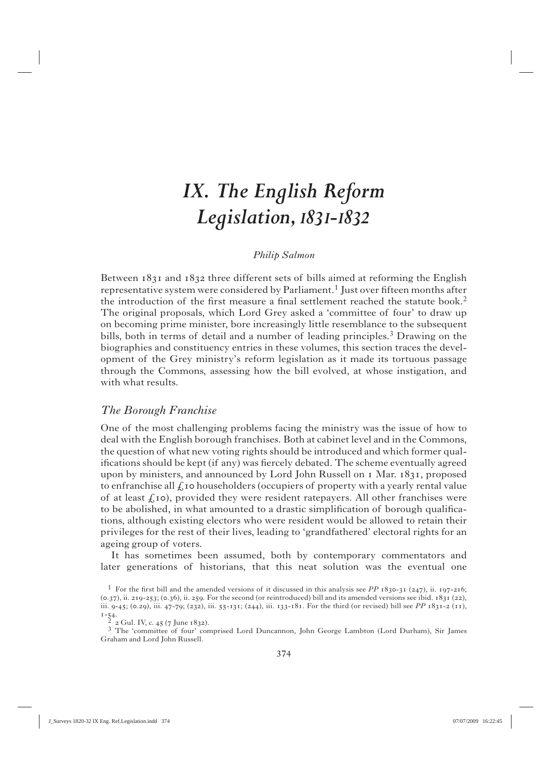# *IX. The English Reform Legislation, I83I-I832*

#### *Philip Salmon*

Between  $1831$  and  $1832$  three different sets of bills aimed at reforming the English representative system were considered by Parliament.<sup>1</sup> Just over fifteen months after the introduction of the first measure a final settlement reached the statute book.<sup>2</sup> The original proposals, which Lord Grey asked a 'committee of four' to draw up on becoming prime minister, bore increasingly little resemblance to the subsequent bills, both in terms of detail and a number of leading principles.3 Drawing on the biographies and constituency entries in these volumes, this section traces the development of the Grey ministry's reform legislation as it made its tortuous passage through the Commons, assessing how the bill evolved, at whose instigation, and with what results.

### *The Borough Franchise*

One of the most challenging problems facing the ministry was the issue of how to deal with the English borough franchises. Both at cabinet level and in the Commons, the question of what new voting rights should be introduced and which former qualifications should be kept (if any) was fiercely debated. The scheme eventually agreed upon by ministers, and announced by Lord John Russell on  $\bar{x}$  Mar.  $1831$ , proposed to enfranchise all  $\mathcal L$  to householders (occupiers of property with a yearly rental value of at least  $f(x)$ , provided they were resident ratepayers. All other franchises were to be abolished, in what amounted to a drastic simplification of borough qualifications, although existing electors who were resident would be allowed to retain their privileges for the rest of their lives, leading to 'grandfathered' electoral rights for an ageing group of voters.

 It has sometimes been assumed, both by contemporary commentators and later generations of historians, that this neat solution was the eventual one

<sup>&</sup>lt;sup>1</sup> For the first bill and the amended versions of it discussed in this analysis see *PP*  $1830-31$  (247), ii. 197-216;  $(0.37)$ , ii. 219-253;  $(0.36)$ , ii. 259. For the second (or reintroduced) bill and its amended versions see ibid.  $1831$   $(22)$ , iii. 9-45; (0.29), iii. 47-79; (232), iii. 55-131; (244), iii. 133-181. For the third (or revised) bill see *PP* 1831-2 (11),

 $\frac{1-54}{2}$  2 Gul. IV, c. 45 (7 June 1832).

<sup>3</sup> The 'committee of four' comprised Lord Duncannon, John George Lambton (Lord Durham), Sir James Graham and Lord John Russell.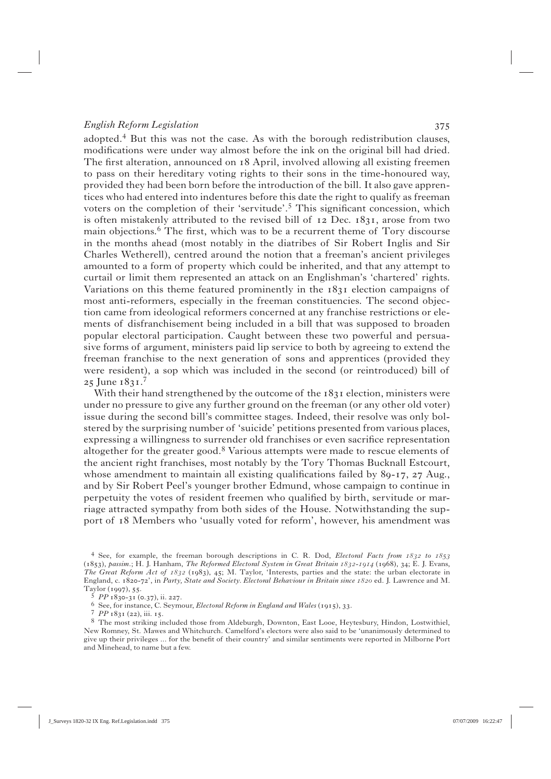adopted. $4$  But this was not the case. As with the borough redistribution clauses, modifications were under way almost before the ink on the original bill had dried. The first alteration, announced on 18 April, involved allowing all existing freemen to pass on their hereditary voting rights to their sons in the time-honoured way, provided they had been born before the introduction of the bill. It also gave apprentices who had entered into indentures before this date the right to qualify as freeman voters on the completion of their 'servitude'.<sup>5</sup> This significant concession, which is often mistakenly attributed to the revised bill of  $12$  Dec.  $1831$ , arose from two main objections.<sup>6</sup> The first, which was to be a recurrent theme of Tory discourse in the months ahead (most notably in the diatribes of Sir Robert Inglis and Sir Charles Wetherell), centred around the notion that a freeman's ancient privileges amounted to a form of property which could be inherited, and that any attempt to curtail or limit them represented an attack on an Englishman's 'chartered' rights. Variations on this theme featured prominently in the 1831 election campaigns of most anti-reformers, especially in the freeman constituencies. The second objection came from ideological reformers concerned at any franchise restrictions or elements of disfranchisement being included in a bill that was supposed to broaden popular electoral participation. Caught between these two powerful and persuasive forms of argument, ministers paid lip service to both by agreeing to extend the freeman franchise to the next generation of sons and apprentices (provided they were resident), a sop which was included in the second (or reintroduced) bill of 25 June 1831.<sup>7</sup>

With their hand strengthened by the outcome of the  $1831$  election, ministers were under no pressure to give any further ground on the freeman (or any other old voter) issue during the second bill's committee stages. Indeed, their resolve was only bolstered by the surprising number of 'suicide' petitions presented from various places, expressing a willingness to surrender old franchises or even sacrifice representation altogether for the greater good. $8$  Various attempts were made to rescue elements of the ancient right franchises, most notably by the Tory Thomas Bucknall Estcourt, whose amendment to maintain all existing qualifications failed by  $89-17$ ,  $27 \text{ Aug.}$ , and by Sir Robert Peel's younger brother Edmund, whose campaign to continue in perpetuity the votes of resident freemen who qualified by birth, servitude or marriage attracted sympathy from both sides of the House. Notwithstanding the support of 18 Members who 'usually voted for reform', however, his amendment was

<sup>&</sup>lt;sup>4</sup> See, for example, the freeman borough descriptions in C. R. Dod, *Electoral Facts from 1832 to 1853* (), *passim*.; H. J. Hanham, *The Reformed Electoral System in Great Britain -* (), ; E. J. Evans, *The Great Reform Act of 1832* (1983), 45; M. Taylor, 'Interests, parties and the state: the urban electorate in England, c. 1820-72', in *Party, State and Society. Electoral Behaviour in Britain since 1820* ed. J. Lawrence and M.

Taylor (1997), 55.<br>
<sup>5</sup> PP 1830-31 (0.37), ii. 227.<br>
<sup>6</sup> See, for instance, C. Seymour, *Electoral Reform in England and Wales* (1915), 33.<br>
<sup>7</sup> PP 1831 (22), iii. 15.<br>
<sup>8</sup> The most striking included those from Aldeburgh, New Romney, St. Mawes and Whitchurch. Camelford's electors were also said to be 'unanimously determined to give up their privileges ... for the benefit of their country' and similar sentiments were reported in Milborne Port and Minehead, to name but a few.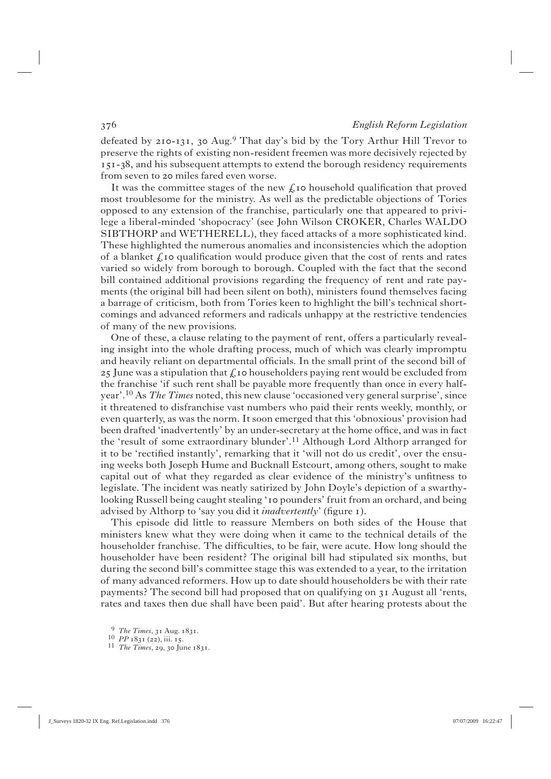defeated by  $210 - 131$ ,  $30 \text{ Aug.}^9$  That day's bid by the Tory Arthur Hill Trevor to preserve the rights of existing non-resident freemen was more decisively rejected by 151-38, and his subsequent attempts to extend the borough residency requirements from seven to 20 miles fared even worse.

It was the committee stages of the new  $f_{\text{1}}$  to household qualification that proved most troublesome for the ministry. As well as the predictable objections of Tories opposed to any extension of the franchise, particularly one that appeared to privilege a liberal-minded 'shopocracy' (see John Wilson CROKER, Charles WALDO SIBTHORP and WETHERELL), they faced attacks of a more sophisticated kind. These highlighted the numerous anomalies and inconsistencies which the adoption of a blanket  $\hat{L}$  to qualification would produce given that the cost of rents and rates varied so widely from borough to borough. Coupled with the fact that the second bill contained additional provisions regarding the frequency of rent and rate payments (the original bill had been silent on both), ministers found themselves facing a barrage of criticism, both from Tories keen to highlight the bill's technical shortcomings and advanced reformers and radicals unhappy at the restrictive tendencies of many of the new provisions.

 One of these, a clause relating to the payment of rent, offers a particularly revealing insight into the whole drafting process, much of which was clearly impromptu and heavily reliant on departmental officials. In the small print of the second bill of 25 June was a stipulation that  $\oint$  to householders paying rent would be excluded from the franchise 'if such rent shall be payable more frequently than once in every halfyear'.10 As *The Times* noted, this new clause 'occasioned very general surprise', since it threatened to disfranchise vast numbers who paid their rents weekly, monthly, or even quarterly, as was the norm. It soon emerged that this 'obnoxious' provision had been drafted 'inadvertently' by an under-secretary at the home office, and was in fact the 'result of some extraordinary blunder'.<sup>11</sup> Although Lord Althorp arranged for it to be 'rectified instantly', remarking that it 'will not do us credit', over the ensuing weeks both Joseph Hume and Bucknall Estcourt, among others, sought to make capital out of what they regarded as clear evidence of the ministry's unfitness to legislate. The incident was neatly satirized by John Doyle's depiction of a swarthylooking Russell being caught stealing '10 pounders' fruit from an orchard, and being advised by Althorp to 'say you did it *inadvertently'* (figure 1).

 This episode did little to reassure Members on both sides of the House that ministers knew what they were doing when it came to the technical details of the householder franchise. The difficulties, to be fair, were acute. How long should the householder have been resident? The original bill had stipulated six months, but during the second bill's committee stage this was extended to a year, to the irritation of many advanced reformers. How up to date should householders be with their rate payments? The second bill had proposed that on qualifying on  $\alpha$  August all 'rents, rates and taxes then due shall have been paid'. But after hearing protests about the

<sup>9</sup> *The Times*, 31 Aug. 1831.<br>
10 *PP* 1831 (22), iii. 15.<br>
11 *The Times*, 29, 30 June 1831.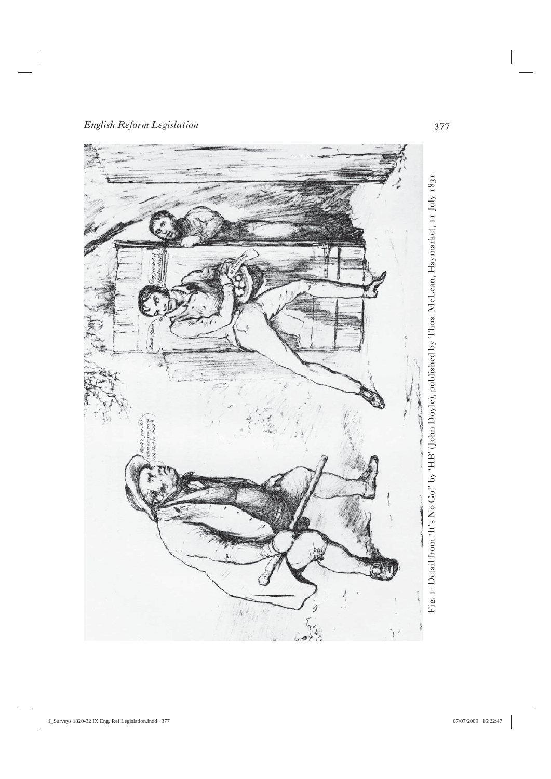

Fig. 1: Detail from 'It's No Go!' by 'HB' (John Doyle), published by Thos. McLean, Haymarket, 11 July 1831. Fig. : Detail from 'It's No Go!' by 'HB' (John Doyle), published by Thos. McLean, Haymarket, July *.*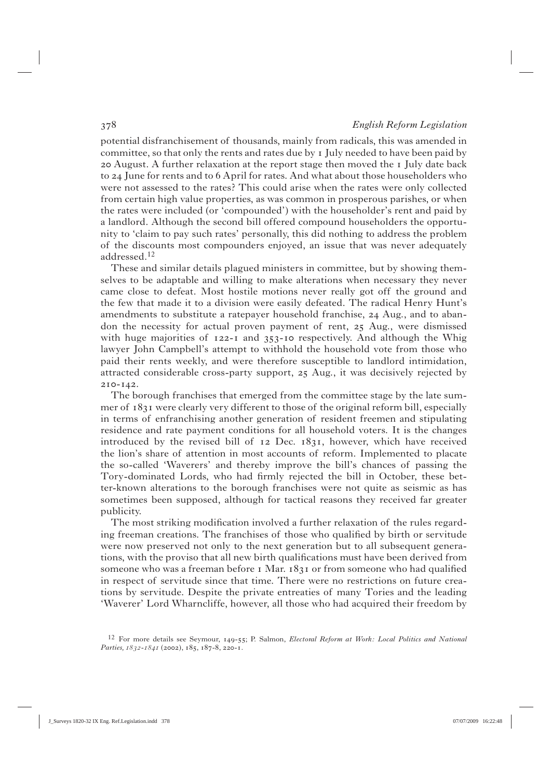potential disfranchisement of thousands, mainly from radicals, this was amended in committee, so that only the rents and rates due by  $I$  July needed to have been paid by 20 August. A further relaxation at the report stage then moved the I July date back to 24 June for rents and to 6 April for rates. And what about those householders who were not assessed to the rates? This could arise when the rates were only collected from certain high value properties, as was common in prosperous parishes, or when the rates were included (or 'compounded') with the householder's rent and paid by a landlord. Although the second bill offered compound householders the opportunity to 'claim to pay such rates' personally, this did nothing to address the problem of the discounts most compounders enjoyed, an issue that was never adequately addressed.12

 These and similar details plagued ministers in committee, but by showing themselves to be adaptable and willing to make alterations when necessary they never came close to defeat. Most hostile motions never really got off the ground and the few that made it to a division were easily defeated. The radical Henry Hunt's amendments to substitute a ratepayer household franchise, 24 Aug., and to abandon the necessity for actual proven payment of rent,  $25$  Aug., were dismissed with huge majorities of  $122 - 1$  and  $353 - 10$  respectively. And although the Whig lawyer John Campbell's attempt to withhold the household vote from those who paid their rents weekly, and were therefore susceptible to landlord intimidation, attracted considerable cross-party support,  $25$  Aug., it was decisively rejected by  $2I0 - I42.$ 

 The borough franchises that emerged from the committee stage by the late summer of  $1831$  were clearly very different to those of the original reform bill, especially in terms of enfranchising another generation of resident freemen and stipulating residence and rate payment conditions for all household voters. It is the changes introduced by the revised bill of  $12$  Dec.  $1831$ , however, which have received the lion's share of attention in most accounts of reform. Implemented to placate the so-called 'Waverers' and thereby improve the bill's chances of passing the Tory-dominated Lords, who had firmly rejected the bill in October, these better-known alterations to the borough franchises were not quite as seismic as has sometimes been supposed, although for tactical reasons they received far greater publicity.

The most striking modification involved a further relaxation of the rules regarding freeman creations. The franchises of those who qualified by birth or servitude were now preserved not only to the next generation but to all subsequent generations, with the proviso that all new birth qualifications must have been derived from someone who was a freeman before  $I$  Mar.  $183I$  or from someone who had qualified in respect of servitude since that time. There were no restrictions on future creations by servitude. Despite the private entreaties of many Tories and the leading 'Waverer' Lord Wharncliffe, however, all those who had acquired their freedom by

<sup>12</sup> For more details see Seymour, 149-55; P. Salmon, *Electoral Reform at Work: Local Politics and National Parties,*  $I832-I84I$  *(2002), 185, 187-8, 220-1.*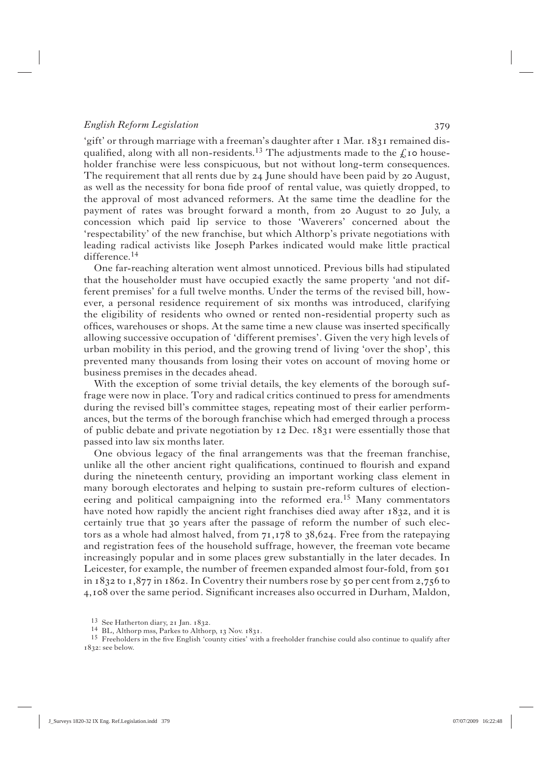'gift' or through marriage with a freeman's daughter after 1 Mar. 1831 remained disqualified, along with all non-residents.<sup>13</sup> The adjustments made to the  $\ell$  to householder franchise were less conspicuous, but not without long-term consequences. The requirement that all rents due by  $24$  June should have been paid by  $20$  August, as well as the necessity for bona fide proof of rental value, was quietly dropped, to the approval of most advanced reformers. At the same time the deadline for the payment of rates was brought forward a month, from 20 August to 20 July, a concession which paid lip service to those 'Waverers' concerned about the 'respectability' of the new franchise, but which Althorp's private negotiations with leading radical activists like Joseph Parkes indicated would make little practical difference.14

 One far-reaching alteration went almost unnoticed. Previous bills had stipulated that the householder must have occupied exactly the same property 'and not different premises' for a full twelve months. Under the terms of the revised bill, however, a personal residence requirement of six months was introduced, clarifying the eligibility of residents who owned or rented non-residential property such as offices, warehouses or shops. At the same time a new clause was inserted specifically allowing successive occupation of 'different premises'. Given the very high levels of urban mobility in this period, and the growing trend of living 'over the shop', this prevented many thousands from losing their votes on account of moving home or business premises in the decades ahead.

With the exception of some trivial details, the key elements of the borough suffrage were now in place. Tory and radical critics continued to press for amendments during the revised bill's committee stages, repeating most of their earlier performances, but the terms of the borough franchise which had emerged through a process of public debate and private negotiation by  $12$  Dec.  $1831$  were essentially those that passed into law six months later.

One obvious legacy of the final arrangements was that the freeman franchise, unlike all the other ancient right qualifications, continued to flourish and expand during the nineteenth century, providing an important working class element in many borough electorates and helping to sustain pre-reform cultures of electioneering and political campaigning into the reformed era.<sup>15</sup> Many commentators have noted how rapidly the ancient right franchises died away after  $1832$ , and it is certainly true that 30 years after the passage of reform the number of such electors as a whole had almost halved, from  $71,178$  to  $38,624$ . Free from the ratepaying and registration fees of the household suffrage, however, the freeman vote became increasingly popular and in some places grew substantially in the later decades. In Leicester, for example, the number of freemen expanded almost four-fold, from in  $1832$  to  $1,877$  in  $1862$ . In Coventry their numbers rose by 50 per cent from 2,756 to 4,  $108$  over the same period. Significant increases also occurred in Durham, Maldon,

<sup>&</sup>lt;sup>13</sup> See Hatherton diary, 21 Jan. 1832.<br><sup>14</sup> BL, Althorp mss, Parkes to Althorp, 13 Nov. 1831.<br><sup>15</sup> Freeholders in the five English 'county cities' with a freeholder franchise could also continue to qualify after 1832: see below.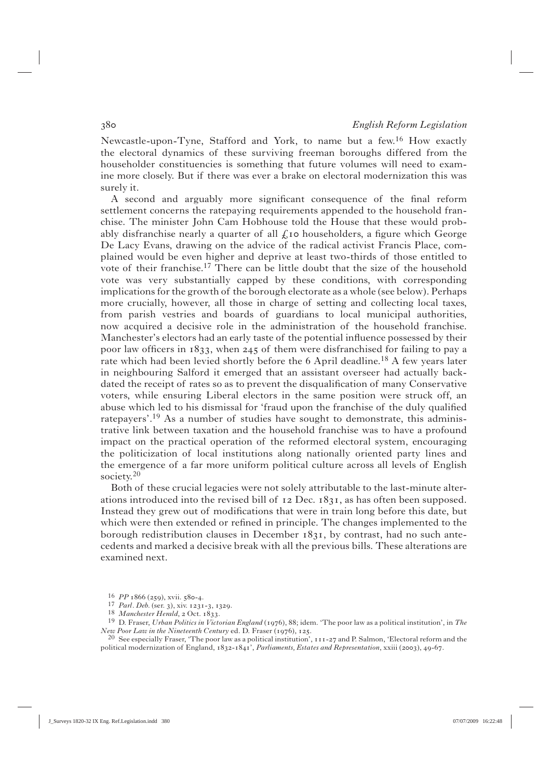Newcastle-upon-Tyne, Stafford and York, to name but a few.16 How exactly the electoral dynamics of these surviving freeman boroughs differed from the householder constituencies is something that future volumes will need to examine more closely. But if there was ever a brake on electoral modernization this was surely it.

A second and arguably more significant consequence of the final reform settlement concerns the ratepaying requirements appended to the household franchise. The minister John Cam Hobhouse told the House that these would probably disfranchise nearly a quarter of all  $f_k$  to householders, a figure which George De Lacy Evans, drawing on the advice of the radical activist Francis Place, complained would be even higher and deprive at least two-thirds of those entitled to vote of their franchise.<sup>17</sup> There can be little doubt that the size of the household vote was very substantially capped by these conditions, with corresponding implications for the growth of the borough electorate as a whole (see below). Perhaps more crucially, however, all those in charge of setting and collecting local taxes, from parish vestries and boards of guardians to local municipal authorities, now acquired a decisive role in the administration of the household franchise. Manchester's electors had an early taste of the potential influence possessed by their poor law officers in  $1833$ , when  $245$  of them were disfranchised for failing to pay a rate which had been levied shortly before the 6 April deadline.<sup>18</sup> A few years later in neighbouring Salford it emerged that an assistant overseer had actually backdated the receipt of rates so as to prevent the disqualification of many Conservative voters, while ensuring Liberal electors in the same position were struck off, an abuse which led to his dismissal for 'fraud upon the franchise of the duly qualified ratepayers'.19 As a number of studies have sought to demonstrate, this administrative link between taxation and the household franchise was to have a profound impact on the practical operation of the reformed electoral system, encouraging the politicization of local institutions along nationally oriented party lines and the emergence of a far more uniform political culture across all levels of English society.<sup>20</sup>

 Both of these crucial legacies were not solely attributable to the last-minute alterations introduced into the revised bill of  $12$  Dec.  $1831$ , as has often been supposed. Instead they grew out of modifications that were in train long before this date, but which were then extended or refined in principle. The changes implemented to the borough redistribution clauses in December  $1831$ , by contrast, had no such antecedents and marked a decisive break with all the previous bills. These alterations are examined next.

<sup>&</sup>lt;sup>16</sup> *PP* 1866 (259), xvii. 580-4.<br><sup>17</sup> *Parl. Deb.* (ser. 3), xiv. 1231-3, 1329.<br><sup>18</sup> *Manchester Herald*, 2 Oct. 1833.<br><sup>19</sup> D. Fraser, *Urban Politics in Victorian England* (1976), 88; idem. 'The poor law as a political

<sup>&</sup>lt;sup>20</sup> See especially Fraser, 'The poor law as a political institution', 111-27 and P. Salmon, 'Electoral reform and the political modernization of England,  $1832-1841$ , *Parliaments, Estates and Representation*, xxiii (2003), 49-67.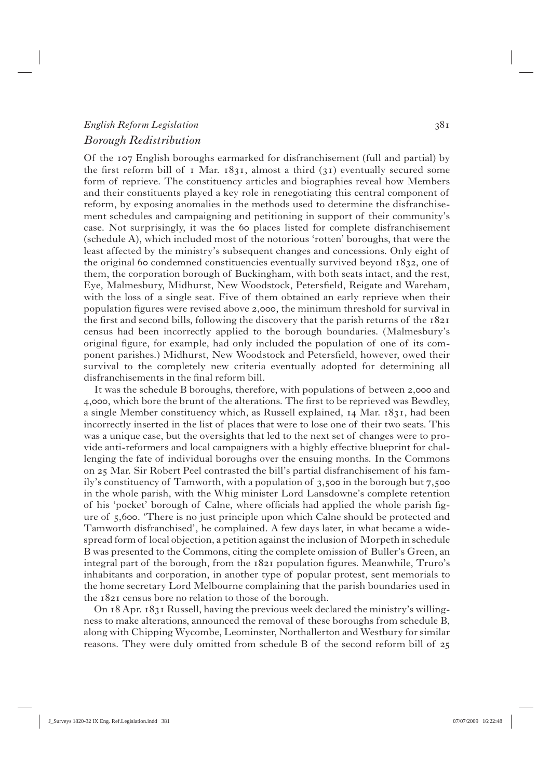# *English Reform Legislation Borough Redistribution*

Of the English boroughs earmarked for disfranchisement (full and partial) by the first reform bill of  $\bar{x}$  Mar.  $\bar{x}$  almost a third ( $\bar{x}$ ) eventually secured some form of reprieve. The constituency articles and biographies reveal how Members and their constituents played a key role in renegotiating this central component of reform, by exposing anomalies in the methods used to determine the disfranchisement schedules and campaigning and petitioning in support of their community's case. Not surprisingly, it was the 60 places listed for complete disfranchisement (schedule A), which included most of the notorious 'rotten' boroughs, that were the least affected by the ministry's subsequent changes and concessions. Only eight of the original 60 condemned constituencies eventually survived beyond  $1832$ , one of them, the corporation borough of Buckingham, with both seats intact, and the rest, Eye, Malmesbury, Midhurst, New Woodstock, Petersfield, Reigate and Wareham, with the loss of a single seat. Five of them obtained an early reprieve when their population figures were revised above 2,000, the minimum threshold for survival in the first and second bills, following the discovery that the parish returns of the  $1821$ census had been incorrectly applied to the borough boundaries. (Malmesbury's original figure, for example, had only included the population of one of its component parishes.) Midhurst, New Woodstock and Petersfield, however, owed their survival to the completely new criteria eventually adopted for determining all disfranchisements in the final reform bill.

It was the schedule B boroughs, therefore, with populations of between 2,000 and 4,000, which bore the brunt of the alterations. The first to be reprieved was Bewdley, a single Member constituency which, as Russell explained,  $14$  Mar.  $1831$ , had been incorrectly inserted in the list of places that were to lose one of their two seats. This was a unique case, but the oversights that led to the next set of changes were to provide anti-reformers and local campaigners with a highly effective blueprint for challenging the fate of individual boroughs over the ensuing months. In the Commons on 25 Mar. Sir Robert Peel contrasted the bill's partial disfranchisement of his family's constituency of Tamworth, with a population of  $3,500$  in the borough but  $7,500$ in the whole parish, with the Whig minister Lord Lansdowne's complete retention of his 'pocket' borough of Calne, where officials had applied the whole parish figure of 5,600. 'There is no just principle upon which Calne should be protected and Tamworth disfranchised', he complained. A few days later, in what became a widespread form of local objection, a petition against the inclusion of Morpeth in schedule B was presented to the Commons, citing the complete omission of Buller's Green, an integral part of the borough, from the  $1821$  population figures. Meanwhile, Truro's inhabitants and corporation, in another type of popular protest, sent memorials to the home secretary Lord Melbourne complaining that the parish boundaries used in the 1821 census bore no relation to those of the borough.

On  $18$  Apr.  $18$ 31 Russell, having the previous week declared the ministry's willingness to make alterations, announced the removal of these boroughs from schedule B, along with Chipping Wycombe, Leominster, Northallerton and Westbury for similar reasons. They were duly omitted from schedule B of the second reform bill of 25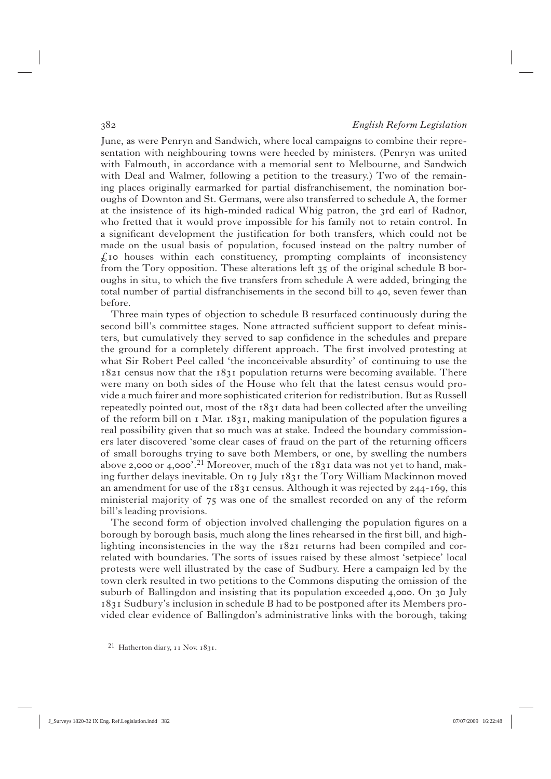June, as were Penryn and Sandwich, where local campaigns to combine their representation with neighbouring towns were heeded by ministers. (Penryn was united with Falmouth, in accordance with a memorial sent to Melbourne, and Sandwich with Deal and Walmer, following a petition to the treasury.) Two of the remaining places originally earmarked for partial disfranchisement, the nomination boroughs of Downton and St. Germans, were also transferred to schedule A, the former at the insistence of its high-minded radical Whig patron, the 3rd earl of Radnor, who fretted that it would prove impossible for his family not to retain control. In a significant development the justification for both transfers, which could not be made on the usual basis of population, focused instead on the paltry number of  $f_k$  no houses within each constituency, prompting complaints of inconsistency from the Tory opposition. These alterations left  $35$  of the original schedule B boroughs in situ, to which the five transfers from schedule A were added, bringing the total number of partial disfranchisements in the second bill to  $40$ , seven fewer than before.

 Three main types of objection to schedule B resurfaced continuously during the second bill's committee stages. None attracted sufficient support to defeat ministers, but cumulatively they served to sap confidence in the schedules and prepare the ground for a completely different approach. The first involved protesting at what Sir Robert Peel called 'the inconceivable absurdity' of continuing to use the  $1821$  census now that the  $1831$  population returns were becoming available. There were many on both sides of the House who felt that the latest census would provide a much fairer and more sophisticated criterion for redistribution. But as Russell repeatedly pointed out, most of the  $1831$  data had been collected after the unveiling of the reform bill on  $\alpha$  Mar.  $\alpha$  is  $\alpha$ , making manipulation of the population figures a real possibility given that so much was at stake. Indeed the boundary commissioners later discovered 'some clear cases of fraud on the part of the returning officers of small boroughs trying to save both Members, or one, by swelling the numbers above 2,000 or 4,000'.<sup>21</sup> Moreover, much of the  $1831$  data was not yet to hand, making further delays inevitable. On 19 July  $1831$  the Tory William Mackinnon moved an amendment for use of the  $1831$  census. Although it was rejected by 244-169, this ministerial majority of  $75$  was one of the smallest recorded on any of the reform bill's leading provisions.

The second form of objection involved challenging the population figures on a borough by borough basis, much along the lines rehearsed in the first bill, and highlighting inconsistencies in the way the  $r821$  returns had been compiled and correlated with boundaries. The sorts of issues raised by these almost 'setpiece' local protests were well illustrated by the case of Sudbury. Here a campaign led by the town clerk resulted in two petitions to the Commons disputing the omission of the suburb of Ballingdon and insisting that its population exceeded  $4,000$ . On  $30$  July Sudbury's inclusion in schedule B had to be postponed after its Members provided clear evidence of Ballingdon's administrative links with the borough, taking

<sup>21</sup> Hatherton diary, 11 Nov. 1831.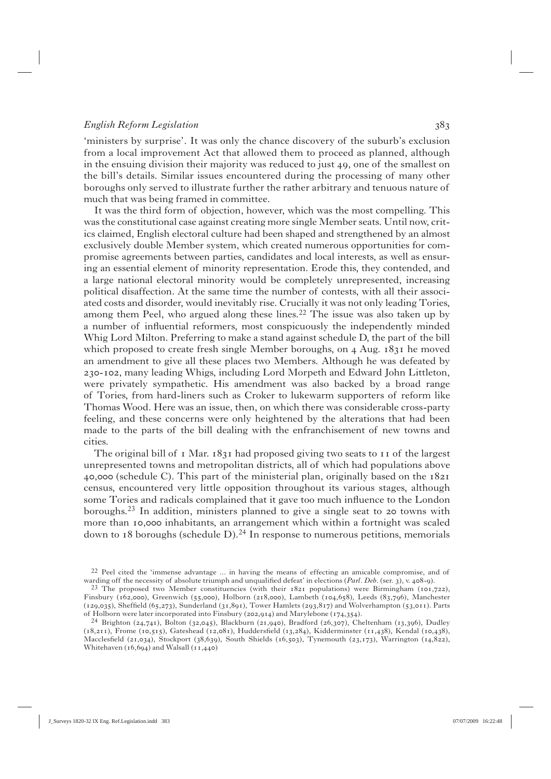'ministers by surprise'. It was only the chance discovery of the suburb's exclusion from a local improvement Act that allowed them to proceed as planned, although in the ensuing division their majority was reduced to just 49, one of the smallest on the bill's details. Similar issues encountered during the processing of many other boroughs only served to illustrate further the rather arbitrary and tenuous nature of much that was being framed in committee.

 It was the third form of objection, however, which was the most compelling. This was the constitutional case against creating more single Member seats. Until now, critics claimed, English electoral culture had been shaped and strengthened by an almost exclusively double Member system, which created numerous opportunities for compromise agreements between parties, candidates and local interests, as well as ensuring an essential element of minority representation. Erode this, they contended, and a large national electoral minority would be completely unrepresented, increasing political disaffection. At the same time the number of contests, with all their associated costs and disorder, would inevitably rise. Crucially it was not only leading Tories, among them Peel, who argued along these lines.<sup>22</sup> The issue was also taken up by a number of influential reformers, most conspicuously the independently minded Whig Lord Milton. Preferring to make a stand against schedule D, the part of the bill which proposed to create fresh single Member boroughs, on  $4$  Aug.  $1831$  he moved an amendment to give all these places two Members. Although he was defeated by 230-102, many leading Whigs, including Lord Morpeth and Edward John Littleton, were privately sympathetic. His amendment was also backed by a broad range of Tories, from hard-liners such as Croker to lukewarm supporters of reform like Thomas Wood. Here was an issue, then, on which there was considerable cross-party feeling, and these concerns were only heightened by the alterations that had been made to the parts of the bill dealing with the enfranchisement of new towns and cities.

The original bill of  $\bar{1}$  Mar.  $1831$  had proposed giving two seats to  $\bar{1}$  of the largest unrepresented towns and metropolitan districts, all of which had populations above 40,000 (schedule C). This part of the ministerial plan, originally based on the  $1821$ census, encountered very little opposition throughout its various stages, although some Tories and radicals complained that it gave too much influence to the London boroughs.<sup>23</sup> In addition, ministers planned to give a single seat to 20 towns with more than 10,000 inhabitants, an arrangement which within a fortnight was scaled down to 18 boroughs (schedule  $D$ ).<sup>24</sup> In response to numerous petitions, memorials

<sup>22</sup> Peel cited the 'immense advantage ... in having the means of effecting an amicable compromise, and of warding off the necessity of absolute triumph and unqualified defeat' in elections (Parl. Deb. (ser. 3), v. 408-9).

<sup>&</sup>lt;sup>23</sup> The proposed two Member constituencies (with their  $1821$  populations) were Birmingham ( $101,722$ ), Finsbury (162,000), Greenwich (55,000), Holborn (218,000), Lambeth (104,658), Leeds (83,796), Manchester (129,035), Sheffield (65,273), Sunderland (31,891), Tower Hamlets (293,817) and Wolverhampton (53,011). Parts of Holborn were later incorporated into Finsbury (202,914) and Marylebone (174,354).

 $^{24}$  Brighton (24,741), Bolton (32,045), Blackburn (21,940), Bradford (26,307), Cheltenham (13,396), Dudley  $(18,211)$ , Frome (10,515), Gateshead (12,081), Huddersfield (13,284), Kidderminster (11,438), Kendal (10,438), Macclesfield (21,034), Stockport (38,639), South Shields (16,503), Tynemouth (23,173), Warrington (14,822), Whitehaven  $(16, 694)$  and Walsall  $(11, 440)$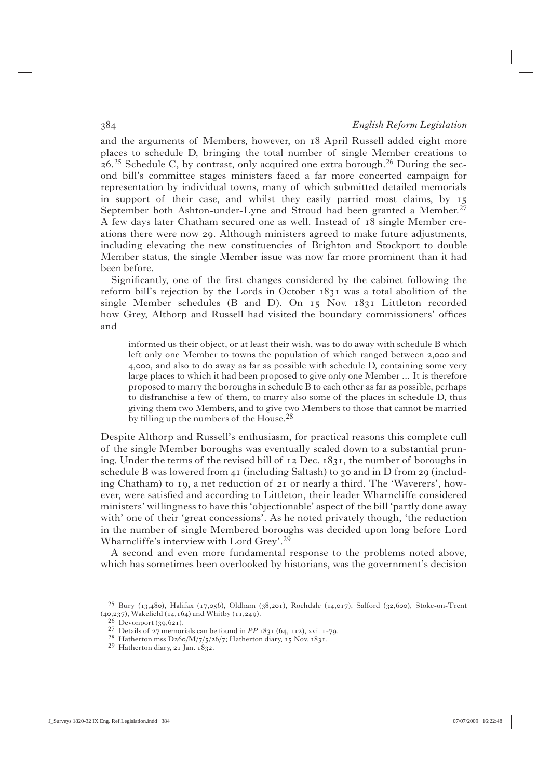and the arguments of Members, however, on 18 April Russell added eight more places to schedule D, bringing the total number of single Member creations to  $26.25$  Schedule C, by contrast, only acquired one extra borough.<sup>26</sup> During the second bill's committee stages ministers faced a far more concerted campaign for representation by individual towns, many of which submitted detailed memorials in support of their case, and whilst they easily parried most claims, by September both Ashton-under-Lyne and Stroud had been granted a Member.<sup>27</sup> A few days later Chatham secured one as well. Instead of 18 single Member creations there were now 29. Although ministers agreed to make future adjustments, including elevating the new constituencies of Brighton and Stockport to double Member status, the single Member issue was now far more prominent than it had been before.

Significantly, one of the first changes considered by the cabinet following the reform bill's rejection by the Lords in October  $1831$  was a total abolition of the single Member schedules (B and D). On  $I_5$  Nov.  $I_8I_1$  Littleton recorded how Grey, Althorp and Russell had visited the boundary commissioners' offices and

informed us their object, or at least their wish, was to do away with schedule B which left only one Member to towns the population of which ranged between 2,000 and ,, and also to do away as far as possible with schedule D, containing some very large places to which it had been proposed to give only one Member ... It is therefore proposed to marry the boroughs in schedule B to each other as far as possible, perhaps to disfranchise a few of them, to marry also some of the places in schedule D, thus giving them two Members, and to give two Members to those that cannot be married by filling up the numbers of the House.<sup>28</sup>

Despite Althorp and Russell's enthusiasm, for practical reasons this complete cull of the single Member boroughs was eventually scaled down to a substantial pruning. Under the terms of the revised bill of  $12$  Dec.  $1831$ , the number of boroughs in schedule B was lowered from 41 (including Saltash) to  $30$  and in D from 29 (including Chatham) to  $I_9$ , a net reduction of  $zI$  or nearly a third. The 'Waverers', however, were satisfied and according to Littleton, their leader Wharncliffe considered ministers' willingness to have this 'objectionable' aspect of the bill 'partly done away with' one of their 'great concessions'. As he noted privately though, 'the reduction in the number of single Membered boroughs was decided upon long before Lord Wharncliffe's interview with Lord Grey'.29

 A second and even more fundamental response to the problems noted above, which has sometimes been overlooked by historians, was the government's decision

 $25$  Bury (13,480), Halifax (17,056), Oldham (38,201), Rochdale (14,017), Salford (32,600), Stoke-on-Trent (40,237), Wakefield (14,164) and Whitby (11,249).<br><sup>26</sup> Devonport (39,621).

<sup>&</sup>lt;sup>27</sup> Details of 27 memorials can be found in *PP* 1831 (64, 112), xvi. 1-79.<br><sup>28</sup> Hatherton mss D260/M/7/5/26/7; Hatherton diary, 15 Nov. 1831.<br><sup>29</sup> Hatherton diary, 21 Jan. 1832.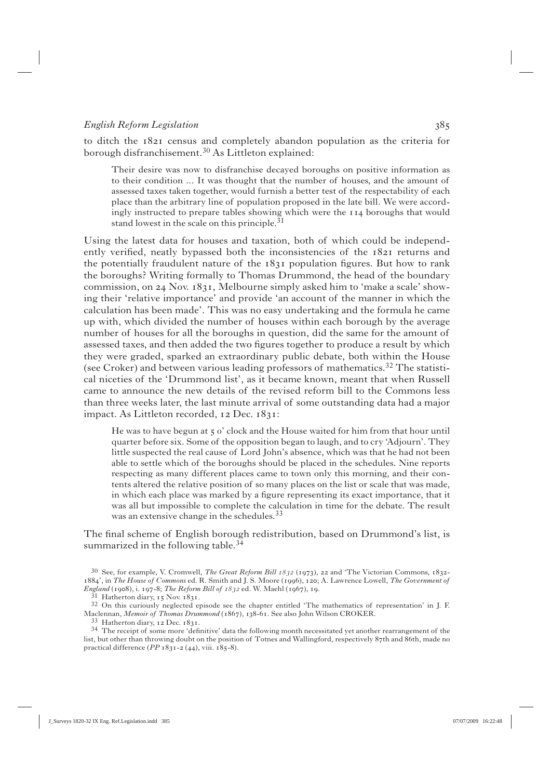to ditch the  $1821$  census and completely abandon population as the criteria for borough disfranchisement.30 As Littleton explained:

Their desire was now to disfranchise decayed boroughs on positive information as to their condition ... It was thought that the number of houses, and the amount of assessed taxes taken together, would furnish a better test of the respectability of each place than the arbitrary line of population proposed in the late bill. We were accordingly instructed to prepare tables showing which were the  $114$  boroughs that would stand lowest in the scale on this principle.  $31$ 

Using the latest data for houses and taxation, both of which could be independently verified, neatly bypassed both the inconsistencies of the  $1821$  returns and the potentially fraudulent nature of the  $1831$  population figures. But how to rank the boroughs? Writing formally to Thomas Drummond, the head of the boundary commission, on  $24$  Nov.  $1831$ , Melbourne simply asked him to 'make a scale' showing their 'relative importance' and provide 'an account of the manner in which the calculation has been made'. This was no easy undertaking and the formula he came up with, which divided the number of houses within each borough by the average number of houses for all the boroughs in question, did the same for the amount of assessed taxes, and then added the two figures together to produce a result by which they were graded, sparked an extraordinary public debate, both within the House (see Croker) and between various leading professors of mathematics.<sup>32</sup> The statistical niceties of the 'Drummond list', as it became known, meant that when Russell came to announce the new details of the revised reform bill to the Commons less than three weeks later, the last minute arrival of some outstanding data had a major impact. As Littleton recorded, 12 Dec. 1831:

He was to have begun at 5 o' clock and the House waited for him from that hour until quarter before six. Some of the opposition began to laugh, and to cry 'Adjourn'. They little suspected the real cause of Lord John's absence, which was that he had not been able to settle which of the boroughs should be placed in the schedules. Nine reports respecting as many different places came to town only this morning, and their contents altered the relative position of so many places on the list or scale that was made, in which each place was marked by a figure representing its exact importance, that it was all but impossible to complete the calculation in time for the debate. The result was an extensive change in the schedules.  $33$ 

The final scheme of English borough redistribution, based on Drummond's list, is summarized in the following table.<sup>34</sup>

<sup>&</sup>lt;sup>30</sup> See, for example, V. Cromwell, *The Great Reform Bill 1832* (1973), 22 and 'The Victorian Commons, 1832-1884', in *The House of Commons* ed. R. Smith and J. S. Moore (1996), 120; A. Lawrence Lowell, *The Government of England* (1908), i. 197-8; *The Reform Bill of 1832* ed. W. Maehl (1967), 19.

<sup>&</sup>lt;sup>31</sup> Hatherton diary, 15 Nov. 1831.<br><sup>32</sup> On this curiously neglected episode see the chapter entitled 'The mathematics of representation' in J. F. Maclennan, *Memoir of Thomas Drummond* (1867), 138-61. See also John Wilson CROKER.<br><sup>33</sup> Hatherton diary, 12 Dec. 1831.

<sup>&</sup>lt;sup>34</sup> The receipt of some more 'definitive' data the following month necessitated yet another rearrangement of the list, but other than throwing doubt on the position of Totnes and Wallingford, respectively 87th and 86th, made no practical difference ( $PP$  1831-2 (44), viii. 185-8).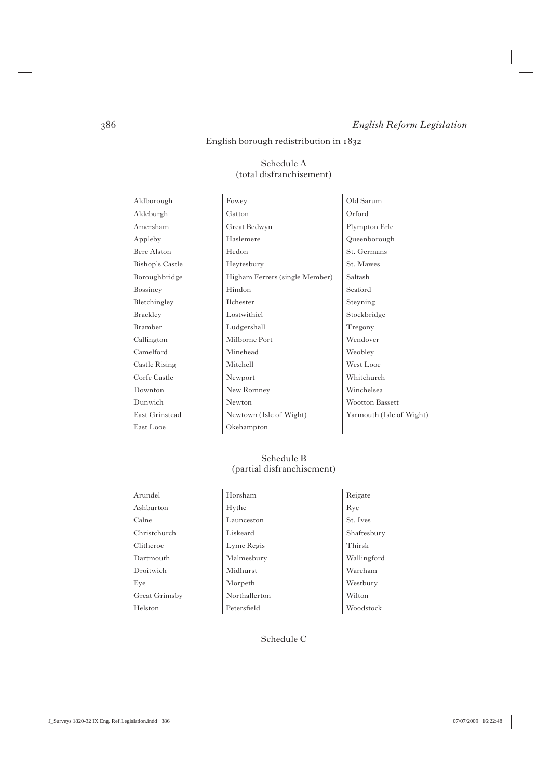#### English borough redistribution in

#### Schedule A (total disfranchisement)

East Looe Champton

Aldborough Fowey Cold Sarum Aldeburgh Gatton Gatton Corford Amersham Great Bedwyn Plympton Erle Appleby Haslemere Queenborough Bere Alston Hedon St. Germans Bishop's Castle Heytesbury St. Mawes Boroughbridge Higham Ferrers (single Member) Saltash Bossiney Hindon Seaford Bletchingley Ilchester Isteyning Brackley Lostwithiel Stockbridge Bramber Ludgershall Tregony Callington Milborne Port Wendover Camelford Minehead Weobley Castle Rising Mitchell West Looe Corfe Castle Newport Newport Whitchurch Downton New Romney Winchelsea Dunwich Newton Wootton Bassett East Grinstead Newtown (Isle of Wight) Yarmouth (Isle of Wight)

#### Schedule B (partial disfranchisement)

Arundel Horsham Reigate Ashburton Hythe Rye Calne Launceston St. Ives Christchurch Liskeard Shaftesbury Clitheroe Lyme Regis Thirsk Dartmouth Malmesbury Wallingford Droitwich Midhurst Wareham Eye Morpeth Westbury Great Grimsby Northallerton Wilton Helston Petersfield Woodstock

Schedule C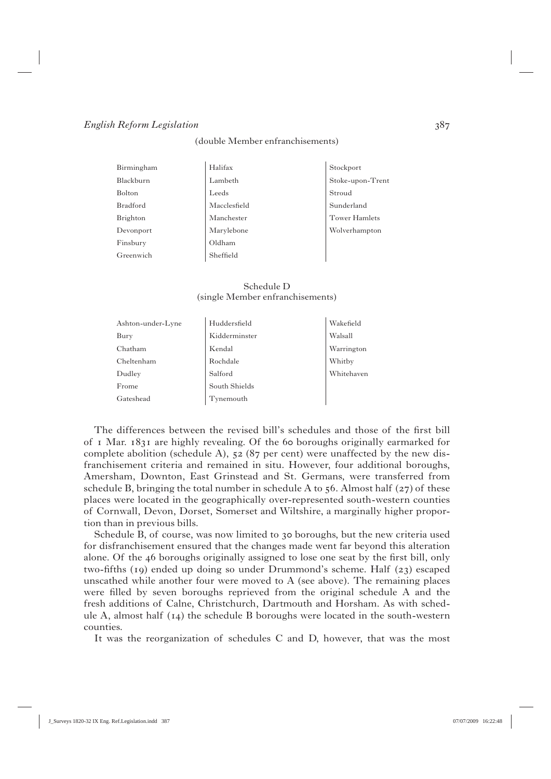(double Member enfranchisements)

| Birmingham    | Halifax      | Stockport            |
|---------------|--------------|----------------------|
| Blackburn     | Lambeth      | Stoke-upon-Trent     |
| <b>Bolton</b> | Leeds        | Stroud               |
| Bradford      | Macclesfield | Sunderland           |
| Brighton      | Manchester   | <b>Tower Hamlets</b> |
| Devonport     | Marylebone   | Wolverhampton        |
| Finsbury      | Oldham       |                      |
| Greenwich     | Sheffield    |                      |
|               |              |                      |

Schedule D (single Member enfranchisements)

| Ashton-under-Lyne | Huddersfield  | Wakefield  |
|-------------------|---------------|------------|
| Bury              | Kidderminster | Walsall    |
| Chatham           | Kendal        | Warrington |
| Cheltenham        | Rochdale      | Whitby     |
| Dudley            | Salford       | Whitehaven |
| Frome             | South Shields |            |
| Gateshead         | Tynemouth     |            |
|                   |               |            |

The differences between the revised bill's schedules and those of the first bill of  $\bar{1}$  Mar.  $1831$  are highly revealing. Of the 60 boroughs originally earmarked for complete abolition (schedule A),  $52(87)$  per cent) were unaffected by the new disfranchisement criteria and remained in situ. However, four additional boroughs, Amersham, Downton, East Grinstead and St. Germans, were transferred from schedule B, bringing the total number in schedule A to  $56$ . Almost half ( $27$ ) of these places were located in the geographically over-represented south-western counties of Cornwall, Devon, Dorset, Somerset and Wiltshire, a marginally higher proportion than in previous bills.

Schedule B, of course, was now limited to 30 boroughs, but the new criteria used for disfranchisement ensured that the changes made went far beyond this alteration alone. Of the  $46$  boroughs originally assigned to lose one seat by the first bill, only two-fifths (19) ended up doing so under Drummond's scheme. Half  $(23)$  escaped unscathed while another four were moved to  $A$  (see above). The remaining places were filled by seven boroughs reprieved from the original schedule  $A$  and the fresh additions of Calne, Christchurch, Dartmouth and Horsham. As with schedule A, almost half  $(14)$  the schedule B boroughs were located in the south-western counties.

It was the reorganization of schedules C and D, however, that was the most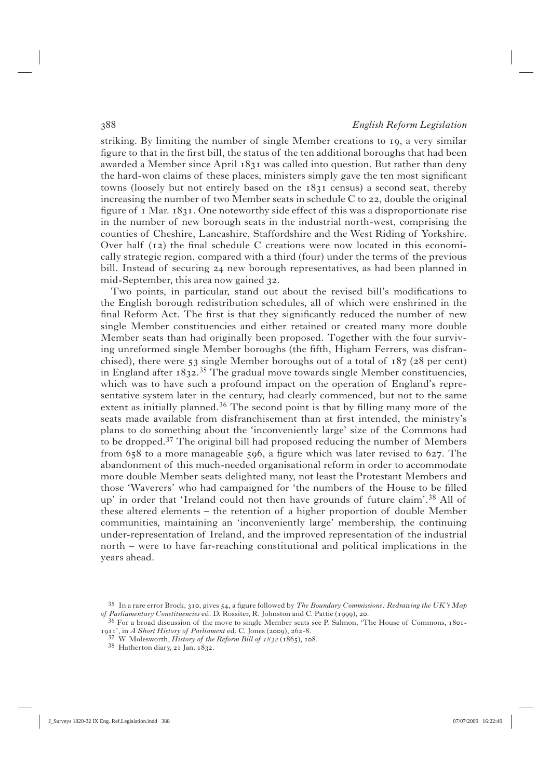striking. By limiting the number of single Member creations to 19, a very similar figure to that in the first bill, the status of the ten additional boroughs that had been awarded a Member since April 1831 was called into question. But rather than deny the hard-won claims of these places, ministers simply gave the ten most significant towns (loosely but not entirely based on the  $1831$  census) a second seat, thereby increasing the number of two Member seats in schedule C to  $22$ , double the original figure of  $I$  Mar.  $I83I$ . One noteworthy side effect of this was a disproportionate rise in the number of new borough seats in the industrial north-west, comprising the counties of Cheshire, Lancashire, Staffordshire and the West Riding of Yorkshire. Over half  $(12)$  the final schedule C creations were now located in this economically strategic region, compared with a third (four) under the terms of the previous bill. Instead of securing  $24$  new borough representatives, as had been planned in mid-September, this area now gained 32.

Two points, in particular, stand out about the revised bill's modifications to the English borough redistribution schedules, all of which were enshrined in the final Reform Act. The first is that they significantly reduced the number of new single Member constituencies and either retained or created many more double Member seats than had originally been proposed. Together with the four surviving unreformed single Member boroughs (the fifth, Higham Ferrers, was disfranchised), there were  $53$  single Member boroughs out of a total of  $187$  ( $28$  per cent) in England after  $1832.^{35}$  The gradual move towards single Member constituencies, which was to have such a profound impact on the operation of England's representative system later in the century, had clearly commenced, but not to the same extent as initially planned.<sup>36</sup> The second point is that by filling many more of the seats made available from disfranchisement than at first intended, the ministry's plans to do something about the 'inconveniently large' size of the Commons had to be dropped.37 The original bill had proposed reducing the number of Members from  $658$  to a more manageable  $596$ , a figure which was later revised to  $627$ . The abandonment of this much-needed organisational reform in order to accommodate more double Member seats delighted many, not least the Protestant Members and those 'Waverers' who had campaigned for 'the numbers of the House to be filled up' in order that 'Ireland could not then have grounds of future claim'.38 All of these altered elements – the retention of a higher proportion of double Member communities, maintaining an 'inconveniently large' membership, the continuing under-representation of Ireland, and the improved representation of the industrial north – were to have far-reaching constitutional and political implications in the years ahead.

<sup>&</sup>lt;sup>35</sup> In a rare error Brock, 310, gives 54, a figure followed by *The Boundary Commissions: Redrawing the UK's Map* 

*of Parliamentary Constituencies* ed. D. Rossiter, R. Johnston and C. Pattie (1999), 20.<br><sup>36</sup> For a broad discussion of the move to single Member seats see P. Salmon, 'The House of Commons, 1801-<br>1911', in *A Short History* 

<sup>&</sup>lt;sup>37</sup> W. Molesworth, *History of the Reform Bill of 1832* (1865), 108.<br><sup>38</sup> Hatherton diary, 21 Jan. 1832.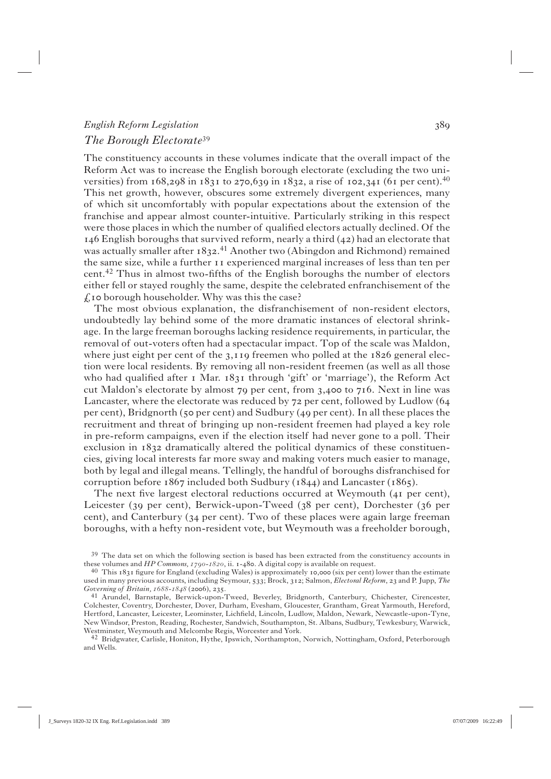# *English Reform Legislation The Borough Electorate*<sup>39</sup>

The constituency accounts in these volumes indicate that the overall impact of the Reform Act was to increase the English borough electorate (excluding the two universities) from  $168,298$  in  $1831$  to  $270,639$  in  $1832$ , a rise of  $102,341$  (61 per cent).<sup>40</sup> This net growth, however, obscures some extremely divergent experiences, many of which sit uncomfortably with popular expectations about the extension of the franchise and appear almost counter-intuitive. Particularly striking in this respect were those places in which the number of qualified electors actually declined. Of the  $I_4$ 6 English boroughs that survived reform, nearly a third  $(42)$  had an electorate that was actually smaller after 1832.<sup>41</sup> Another two (Abingdon and Richmond) remained the same size, while a further  $\mu$  is experienced marginal increases of less than ten per cent.<sup>42</sup> Thus in almost two-fifths of the English boroughs the number of electors either fell or stayed roughly the same, despite the celebrated enfranchisement of the  $f<sub>k</sub>$  to borough householder. Why was this the case?

 The most obvious explanation, the disfranchisement of non-resident electors, undoubtedly lay behind some of the more dramatic instances of electoral shrinkage. In the large freeman boroughs lacking residence requirements, in particular, the removal of out-voters often had a spectacular impact. Top of the scale was Maldon, where just eight per cent of the  $3,119$  freemen who polled at the  $1826$  general election were local residents. By removing all non-resident freemen (as well as all those who had qualified after I Mar. 1831 through 'gift' or 'marriage'), the Reform Act cut Maldon's electorate by almost  $79$  per cent, from  $3,4$ 00 to  $716$ . Next in line was Lancaster, where the electorate was reduced by  $72$  per cent, followed by Ludlow (64) per cent), Bridgnorth (50 per cent) and Sudbury (49 per cent). In all these places the recruitment and threat of bringing up non-resident freemen had played a key role in pre-reform campaigns, even if the election itself had never gone to a poll. Their exclusion in  $1832$  dramatically altered the political dynamics of these constituencies, giving local interests far more sway and making voters much easier to manage, both by legal and illegal means. Tellingly, the handful of boroughs disfranchised for corruption before  $1867$  included both Sudbury ( $1844$ ) and Lancaster ( $1865$ ).

The next five largest electoral reductions occurred at Weymouth  $(41 \text{ per cent})$ , Leicester (39 per cent), Berwick-upon-Tweed ( $38$  per cent), Dorchester ( $36$  per cent), and Canterbury (34 per cent). Two of these places were again large freeman boroughs, with a hefty non-resident vote, but Weymouth was a freeholder borough,

<sup>&</sup>lt;sup>39</sup> The data set on which the following section is based has been extracted from the constituency accounts in these volumes and *HP Commons, 1790-1820*, ii. 1-480. A digital copy is available on request.

 $40$  This  $1831$  figure for England (excluding Wales) is approximately 10,000 (six per cent) lower than the estimate used in many previous accounts, including Seymour, 533; Brock, 312; Salmon, *Electoral Reform*, 23 and P. Jupp, The

*Governing of Britain, 1688-1848* (2006), 235.<br><sup>41</sup> Arundel, Barnstaple, Berwick-upon-Tweed, Beverley, Bridgnorth, Canterbury, Chichester, Cirencester, Colchester, Coventry, Dorchester, Dover, Durham, Evesham, Gloucester, Grantham, Great Yarmouth, Hereford, Hertford, Lancaster, Leicester, Leominster, Lichfield, Lincoln, Ludlow, Maldon, Newark, Newcastle-upon-Tyne, New Windsor, Preston, Reading, Rochester, Sandwich, Southampton, St. Albans, Sudbury, Tewkesbury, Warwick, Westminster, Weymouth and Melcombe Regis, Worcester and York.

<sup>42</sup> Bridgwater, Carlisle, Honiton, Hythe, Ipswich, Northampton, Norwich, Nottingham, Oxford, Peterborough and Wells.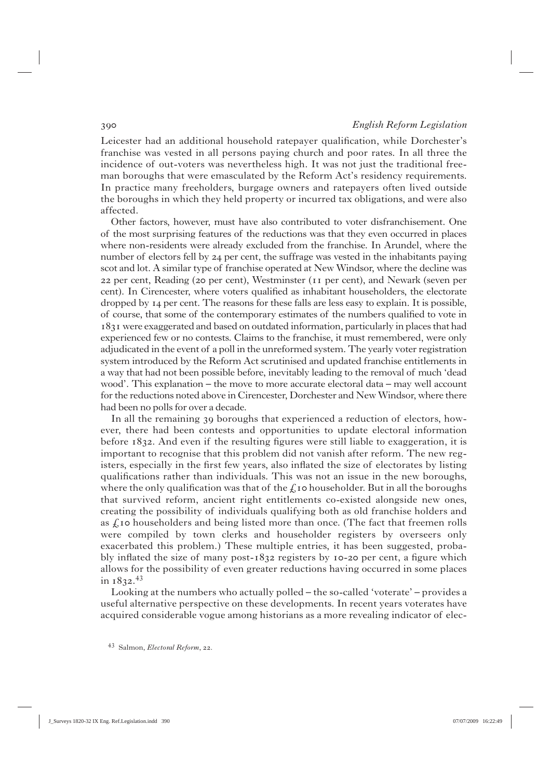Leicester had an additional household ratepayer qualification, while Dorchester's franchise was vested in all persons paying church and poor rates. In all three the incidence of out-voters was nevertheless high. It was not just the traditional freeman boroughs that were emasculated by the Reform Act's residency requirements. In practice many freeholders, burgage owners and ratepayers often lived outside the boroughs in which they held property or incurred tax obligations, and were also affected.

 Other factors, however, must have also contributed to voter disfranchisement. One of the most surprising features of the reductions was that they even occurred in places where non-residents were already excluded from the franchise. In Arundel, where the number of electors fell by  $24$  per cent, the suffrage was vested in the inhabitants paying scot and lot. A similar type of franchise operated at New Windsor, where the decline was 22 per cent, Reading ( $20$  per cent), Westminster ( $11$  per cent), and Newark (seven per cent). In Cirencester, where voters qualified as inhabitant householders, the electorate dropped by  $I_4$  per cent. The reasons for these falls are less easy to explain. It is possible, of course, that some of the contemporary estimates of the numbers qualified to vote in were exaggerated and based on outdated information, particularly in places that had experienced few or no contests. Claims to the franchise, it must remembered, were only adjudicated in the event of a poll in the unreformed system. The yearly voter registration system introduced by the Reform Act scrutinised and updated franchise entitlements in a way that had not been possible before, inevitably leading to the removal of much 'dead wood'. This explanation – the move to more accurate electoral data – may well account for the reductions noted above in Cirencester, Dorchester and New Windsor, where there had been no polls for over a decade.

In all the remaining 39 boroughs that experienced a reduction of electors, however, there had been contests and opportunities to update electoral information before  $1832$ . And even if the resulting figures were still liable to exaggeration, it is important to recognise that this problem did not vanish after reform. The new registers, especially in the first few years, also inflated the size of electorates by listing qualifications rather than individuals. This was not an issue in the new boroughs, where the only qualification was that of the  $\mathcal{L}$  to householder. But in all the boroughs that survived reform, ancient right entitlements co-existed alongside new ones, creating the possibility of individuals qualifying both as old franchise holders and as  $\zeta$  to householders and being listed more than once. (The fact that freemen rolls were compiled by town clerks and householder registers by overseers only exacerbated this problem.) These multiple entries, it has been suggested, probably inflated the size of many post- $1832$  registers by 10-20 per cent, a figure which allows for the possibility of even greater reductions having occurred in some places in  $1832.^{43}$ 

 Looking at the numbers who actually polled – the so-called 'voterate' – provides a useful alternative perspective on these developments. In recent years voterates have acquired considerable vogue among historians as a more revealing indicator of elec-

<sup>43</sup> Salmon, *Electoral Reform*, 22.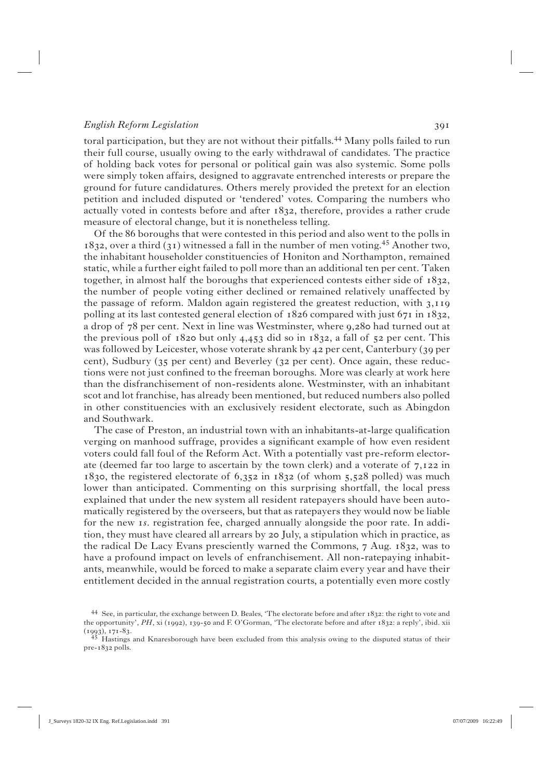toral participation, but they are not without their pitfalls.<sup>44</sup> Many polls failed to run their full course, usually owing to the early withdrawal of candidates. The practice of holding back votes for personal or political gain was also systemic. Some polls were simply token affairs, designed to aggravate entrenched interests or prepare the ground for future candidatures. Others merely provided the pretext for an election petition and included disputed or 'tendered' votes. Comparing the numbers who actually voted in contests before and after  $1832$ , therefore, provides a rather crude measure of electoral change, but it is nonetheless telling.

 Of the boroughs that were contested in this period and also went to the polls in 1832, over a third (31) witnessed a fall in the number of men voting.<sup>45</sup> Another two, the inhabitant householder constituencies of Honiton and Northampton, remained static, while a further eight failed to poll more than an additional ten per cent. Taken together, in almost half the boroughs that experienced contests either side of  $1832$ . the number of people voting either declined or remained relatively unaffected by the passage of reform. Maldon again registered the greatest reduction, with  $3,119$ polling at its last contested general election of  $1826$  compared with just  $671$  in  $1832$ , a drop of  $78$  per cent. Next in line was Westminster, where  $9,280$  had turned out at the previous poll of  $1820$  but only  $4,453$  did so in  $1832$ , a fall of  $52$  per cent. This was followed by Leicester, whose voterate shrank by  $42$  per cent, Canterbury (39 per cent), Sudbury (35 per cent) and Beverley (32 per cent). Once again, these reductions were not just confined to the freeman boroughs. More was clearly at work here than the disfranchisement of non-residents alone. Westminster, with an inhabitant scot and lot franchise, has already been mentioned, but reduced numbers also polled in other constituencies with an exclusively resident electorate, such as Abingdon and Southwark.

The case of Preston, an industrial town with an inhabitants-at-large qualification verging on manhood suffrage, provides a significant example of how even resident voters could fall foul of the Reform Act. With a potentially vast pre-reform electorate (deemed far too large to ascertain by the town clerk) and a voterate of  $7,122$  in 1830, the registered electorate of  $6,352$  in 1832 (of whom 5,528 polled) was much lower than anticipated. Commenting on this surprising shortfall, the local press explained that under the new system all resident ratepayers should have been automatically registered by the overseers, but that as ratepayers they would now be liable for the new *s*. registration fee, charged annually alongside the poor rate. In addition, they must have cleared all arrears by 20 July, a stipulation which in practice, as the radical De Lacy Evans presciently warned the Commons,  $7$  Aug.  $1832$ , was to have a profound impact on levels of enfranchisement. All non-ratepaying inhabitants, meanwhile, would be forced to make a separate claim every year and have their entitlement decided in the annual registration courts, a potentially even more costly

<sup>44</sup> See, in particular, the exchange between D. Beales, 'The electorate before and after : the right to vote and the opportunity', *PH*, xi (1992), 139-50 and F. O'Gorman, 'The electorate before and after 1832: a reply', ibid. xii<br>(1993), 171-83.<br> $\frac{45}{2}$  Haetings and Knarasharovich have been unturbuled for the state of the state

Hastings and Knaresborough have been excluded from this analysis owing to the disputed status of their  $pre-1832$  polls.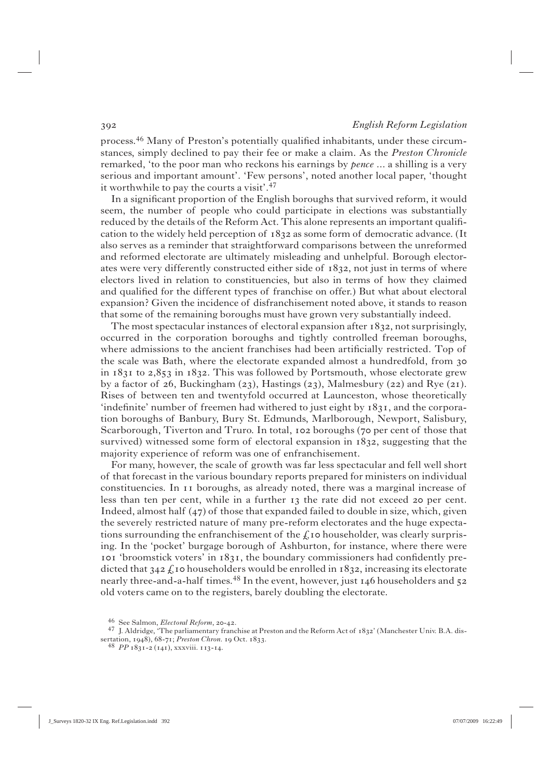process.<sup>46</sup> Many of Preston's potentially qualified inhabitants, under these circumstances, simply declined to pay their fee or make a claim. As the *Preston Chronicle* remarked, 'to the poor man who reckons his earnings by *pence* ... a shilling is a very serious and important amount'. 'Few persons', noted another local paper, 'thought it worthwhile to pay the courts a visit'.<sup>47</sup>

In a significant proportion of the English boroughs that survived reform, it would seem, the number of people who could participate in elections was substantially reduced by the details of the Reform Act. This alone represents an important qualifi cation to the widely held perception of  $1832$  as some form of democratic advance. (It also serves as a reminder that straightforward comparisons between the unreformed and reformed electorate are ultimately misleading and unhelpful. Borough electorates were very differently constructed either side of  $1832$ , not just in terms of where electors lived in relation to constituencies, but also in terms of how they claimed and qualified for the different types of franchise on offer.) But what about electoral expansion? Given the incidence of disfranchisement noted above, it stands to reason that some of the remaining boroughs must have grown very substantially indeed.

The most spectacular instances of electoral expansion after  $1832$ , not surprisingly, occurred in the corporation boroughs and tightly controlled freeman boroughs, where admissions to the ancient franchises had been artificially restricted. Top of the scale was Bath, where the electorate expanded almost a hundredfold, from in  $1831$  to  $2,853$  in  $1832$ . This was followed by Portsmouth, whose electorate grew by a factor of 26, Buckingham (23), Hastings (23), Malmesbury (22) and Rye (21). Rises of between ten and twentyfold occurred at Launceston, whose theoretically 'indefinite' number of freemen had withered to just eight by  $1831$ , and the corporation boroughs of Banbury, Bury St. Edmunds, Marlborough, Newport, Salisbury, Scarborough, Tiverton and Truro. In total, 102 boroughs (70 per cent of those that survived) witnessed some form of electoral expansion in  $1832$ , suggesting that the majority experience of reform was one of enfranchisement.

 For many, however, the scale of growth was far less spectacular and fell well short of that forecast in the various boundary reports prepared for ministers on individual constituencies. In II boroughs, as already noted, there was a marginal increase of less than ten per cent, while in a further 13 the rate did not exceed 20 per cent. Indeed, almost half  $(47)$  of those that expanded failed to double in size, which, given the severely restricted nature of many pre-reform electorates and the huge expectations surrounding the enfranchisement of the  $\mathcal{L}$  to householder, was clearly surprising. In the 'pocket' burgage borough of Ashburton, for instance, where there were  $\overline{p}$  'broomstick voters' in  $1831$ , the boundary commissioners had confidently predicted that  $342 \text{ ft}$  to householders would be enrolled in 1832, increasing its electorate nearly three-and-a-half times.<sup>48</sup> In the event, however, just  $146$  householders and  $52$ old voters came on to the registers, barely doubling the electorate.

<sup>&</sup>lt;sup>46</sup> See Salmon, *Electoral Reform*, 20-42.<br><sup>47</sup> J. Aldridge, 'The parliamentary franchise at Preston and the Reform Act of 1832' (Manchester Univ. B.A. dissertation, 1948), 68-71; *Preston Chron*. 19 Oct. 1833.<br><sup>48</sup> *PP* 1831-2 (141), xxxviii. 113-14.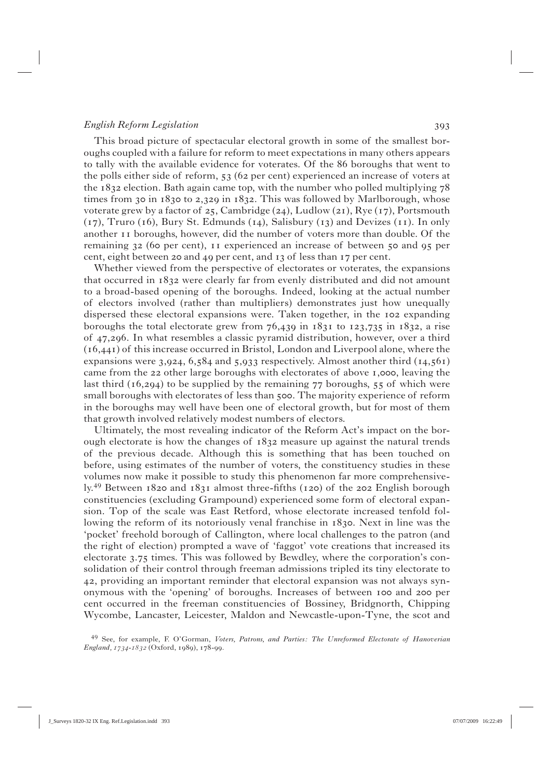This broad picture of spectacular electoral growth in some of the smallest boroughs coupled with a failure for reform to meet expectations in many others appears to tally with the available evidence for voterates. Of the 86 boroughs that went to the polls either side of reform,  $53(62 \text{ per cent})$  experienced an increase of voters at the  $1832$  election. Bath again came top, with the number who polled multiplying  $78$ times from 30 in  $1830$  to 2,329 in  $1832$ . This was followed by Marlborough, whose voterate grew by a factor of 25, Cambridge (24), Ludlow (21), Rye (17), Portsmouth  $(17)$ , Truro (16), Bury St. Edmunds (14), Salisbury (13) and Devizes (11). In only another 11 boroughs, however, did the number of voters more than double. Of the remaining  $32$  (60 per cent),  $11$  experienced an increase of between  $50$  and  $95$  per cent, eight between 20 and 49 per cent, and  $_3$  of less than  $_7$  per cent.

 Whether viewed from the perspective of electorates or voterates, the expansions that occurred in  $1832$  were clearly far from evenly distributed and did not amount to a broad-based opening of the boroughs. Indeed, looking at the actual number of electors involved (rather than multipliers) demonstrates just how unequally dispersed these electoral expansions were. Taken together, in the 102 expanding boroughs the total electorate grew from  $76,439$  in  $1831$  to  $123,735$  in  $1832$ , a rise of 47,296. In what resembles a classic pyramid distribution, however, over a third  $(16,441)$  of this increase occurred in Bristol, London and Liverpool alone, where the expansions were  $3,924, 6,584$  and  $5,933$  respectively. Almost another third ( $14,561$ ) came from the 22 other large boroughs with electorates of above 1,000, leaving the last third  $(16, 294)$  to be supplied by the remaining  $77$  boroughs,  $55$  of which were small boroughs with electorates of less than 500. The majority experience of reform in the boroughs may well have been one of electoral growth, but for most of them that growth involved relatively modest numbers of electors.

 Ultimately, the most revealing indicator of the Reform Act's impact on the borough electorate is how the changes of  $1832$  measure up against the natural trends of the previous decade. Although this is something that has been touched on before, using estimates of the number of voters, the constituency studies in these volumes now make it possible to study this phenomenon far more comprehensively.<sup>49</sup> Between  $1820$  and  $1831$  almost three-fifths ( $120$ ) of the  $202$  English borough constituencies (excluding Grampound) experienced some form of electoral expansion. Top of the scale was East Retford, whose electorate increased tenfold following the reform of its notoriously venal franchise in 1830. Next in line was the 'pocket' freehold borough of Callington, where local challenges to the patron (and the right of election) prompted a wave of 'faggot' vote creations that increased its electorate  $3.75$  times. This was followed by Bewdley, where the corporation's consolidation of their control through freeman admissions tripled its tiny electorate to , providing an important reminder that electoral expansion was not always synonymous with the 'opening' of boroughs. Increases of between 100 and 200 per cent occurred in the freeman constituencies of Bossiney, Bridgnorth, Chipping Wycombe, Lancaster, Leicester, Maldon and Newcastle-upon-Tyne, the scot and

49 See, for example, F. O'Gorman, *Voters, Patrons, and Parties: The Unreformed Electorate of Hanoverian England, 1734-1832* (Oxford, 1989), 178-99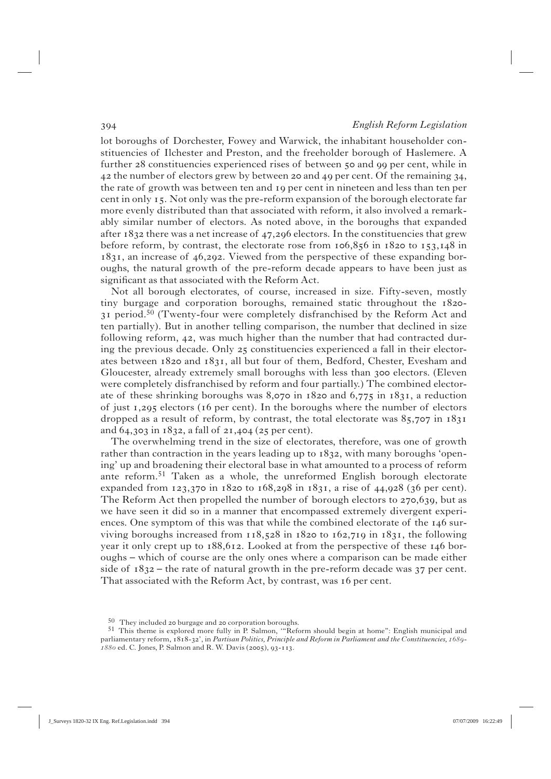lot boroughs of Dorchester, Fowey and Warwick, the inhabitant householder constituencies of Ilchester and Preston, and the freeholder borough of Haslemere. A further 28 constituencies experienced rises of between 50 and 99 per cent, while in  $42$  the number of electors grew by between 20 and  $49$  per cent. Of the remaining 34, the rate of growth was between ten and 19 per cent in nineteen and less than ten per cent in only 15. Not only was the pre-reform expansion of the borough electorate far more evenly distributed than that associated with reform, it also involved a remarkably similar number of electors. As noted above, in the boroughs that expanded after  $1832$  there was a net increase of  $47,296$  electors. In the constituencies that grew before reform, by contrast, the electorate rose from  $106,856$  in  $1820$  to  $153,148$  in  $1831$ , an increase of  $46,292$ . Viewed from the perspective of these expanding boroughs, the natural growth of the pre-reform decade appears to have been just as significant as that associated with the Reform Act.

 Not all borough electorates, of course, increased in size. Fifty-seven, mostly tiny burgage and corporation boroughs, remained static throughout the  $1820 -$ 31 period.<sup>50</sup> (Twenty-four were completely disfranchised by the Reform Act and ten partially). But in another telling comparison, the number that declined in size following reform,  $42$ , was much higher than the number that had contracted during the previous decade. Only  $25$  constituencies experienced a fall in their electorates between  $1820$  and  $1831$ , all but four of them, Bedford, Chester, Evesham and Gloucester, already extremely small boroughs with less than 300 electors. (Eleven were completely disfranchised by reform and four partially.) The combined electorate of these shrinking boroughs was 8,070 in  $1820$  and  $6,775$  in  $1831$ , a reduction of just  $1,295$  electors (16 per cent). In the boroughs where the number of electors dropped as a result of reform, by contrast, the total electorate was  $85,707$  in  $1831$ and  $64, 303$  in  $1832$ , a fall of  $21, 404$  ( $25$  per cent).

 The overwhelming trend in the size of electorates, therefore, was one of growth rather than contraction in the years leading up to  $1832$ , with many boroughs 'opening' up and broadening their electoral base in what amounted to a process of reform ante reform.51 Taken as a whole, the unreformed English borough electorate expanded from  $123,370$  in  $1820$  to  $168,298$  in  $1831$ , a rise of  $44,928$  (36 per cent). The Reform Act then propelled the number of borough electors to  $270,639$ , but as we have seen it did so in a manner that encompassed extremely divergent experiences. One symptom of this was that while the combined electorate of the  $146 \text{ sur-}$ viving boroughs increased from  $118,528$  in  $1820$  to  $162,719$  in  $1831$ , the following year it only crept up to  $188,612$ . Looked at from the perspective of these  $146$  boroughs – which of course are the only ones where a comparison can be made either side of  $1832$  – the rate of natural growth in the pre-reform decade was 37 per cent. That associated with the Reform Act, by contrast, was 16 per cent.

 $50$  They included 20 burgage and 20 corporation boroughs.

<sup>51</sup> This theme is explored more fully in P. Salmon, '"Reform should begin at home": English municipal and parliamentary reform,  $1818-32$ , in *Partisan Politics, Principle and Reform in Parliament and the Constituencies, 1689-* $1880$  ed. C. Jones, P. Salmon and R. W. Davis (2005), 93-113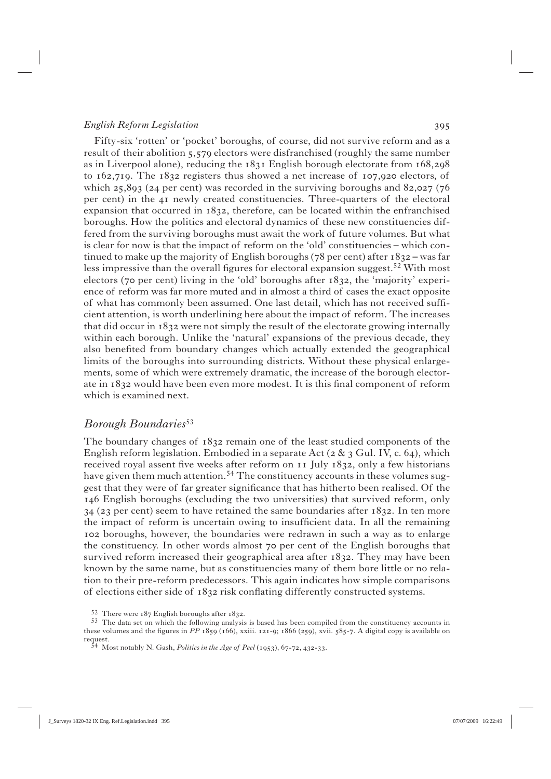Fifty-six 'rotten' or 'pocket' boroughs, of course, did not survive reform and as a result of their abolition 5,579 electors were disfranchised (roughly the same number as in Liverpool alone), reducing the  $1831$  English borough electorate from  $168,298$ to  $162,719$ . The  $1832$  registers thus showed a net increase of  $107,920$  electors, of which  $25,893$  ( $24$  per cent) was recorded in the surviving boroughs and  $82,027$  ( $76$ ) per cent) in the  $41$  newly created constituencies. Three-quarters of the electoral expansion that occurred in  $1832$ , therefore, can be located within the enfranchised boroughs. How the politics and electoral dynamics of these new constituencies differed from the surviving boroughs must await the work of future volumes. But what is clear for now is that the impact of reform on the 'old' constituencies – which continued to make up the majority of English boroughs ( $78$  per cent) after  $1832 -$  was far less impressive than the overall figures for electoral expansion suggest.<sup>52</sup> With most electors (70 per cent) living in the 'old' boroughs after  $1832$ , the 'majority' experience of reform was far more muted and in almost a third of cases the exact opposite of what has commonly been assumed. One last detail, which has not received suffi cient attention, is worth underlining here about the impact of reform. The increases that did occur in  $1832$  were not simply the result of the electorate growing internally within each borough. Unlike the 'natural' expansions of the previous decade, they also benefited from boundary changes which actually extended the geographical limits of the boroughs into surrounding districts. Without these physical enlargements, some of which were extremely dramatic, the increase of the borough electorate in 1832 would have been even more modest. It is this final component of reform which is examined next.

### *Borough Boundaries*<sup>53</sup>

The boundary changes of  $1832$  remain one of the least studied components of the English reform legislation. Embodied in a separate Act ( $2 \& 3$  Gul. IV, c. 64), which received royal assent five weeks after reform on  $\overline{11}$  July  $\overline{18}32$ , only a few historians have given them much attention.<sup>54</sup> The constituency accounts in these volumes suggest that they were of far greater significance that has hitherto been realised. Of the English boroughs (excluding the two universities) that survived reform, only  $34$  (23 per cent) seem to have retained the same boundaries after  $1832$ . In ten more the impact of reform is uncertain owing to insufficient data. In all the remaining boroughs, however, the boundaries were redrawn in such a way as to enlarge the constituency. In other words almost 70 per cent of the English boroughs that survived reform increased their geographical area after  $1832$ . They may have been known by the same name, but as constituencies many of them bore little or no relation to their pre-reform predecessors. This again indicates how simple comparisons of elections either side of 1832 risk conflating differently constructed systems.

<sup>52</sup> There were  $187$  English boroughs after  $1832$ .<br>53 The data set on which the following analysis is based has been compiled from the constituency accounts in these volumes and the figures in PP 1859 (166), xxiii. 121-9; 1866 (259), xvii. 585-7. A digital copy is available on request.<br><sup>54</sup> Most notably N. Gash, *Politics in the Age of Peel* (1953), 67-72, 432-33.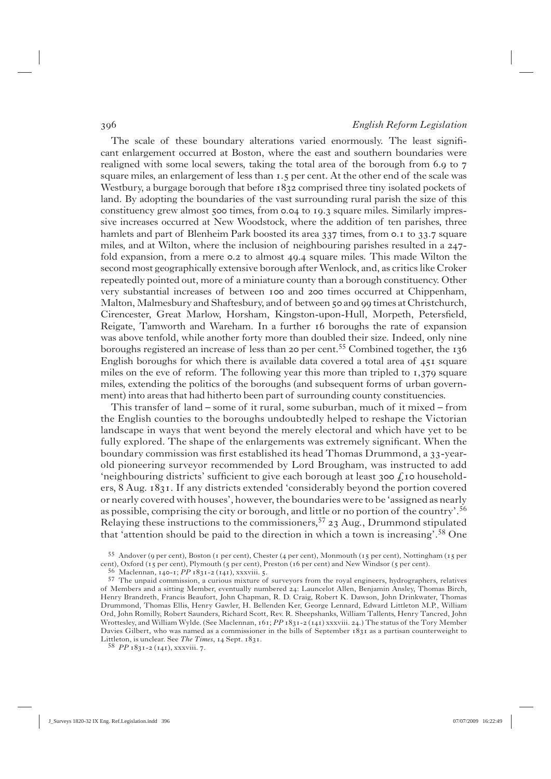The scale of these boundary alterations varied enormously. The least significant enlargement occurred at Boston, where the east and southern boundaries were realigned with some local sewers, taking the total area of the borough from 6.9 to 7 square miles, an enlargement of less than 1.5 per cent. At the other end of the scale was Westbury, a burgage borough that before  $1832$  comprised three tiny isolated pockets of land. By adopting the boundaries of the vast surrounding rural parish the size of this constituency grew almost 500 times, from 0.04 to 19.3 square miles. Similarly impressive increases occurred at New Woodstock, where the addition of ten parishes, three hamlets and part of Blenheim Park boosted its area 337 times, from 0.1 to 33.7 square miles, and at Wilton, where the inclusion of neighbouring parishes resulted in a  $247$ fold expansion, from a mere  $\circ$ . to almost 49.4 square miles. This made Wilton the second most geographically extensive borough after Wenlock, and, as critics like Croker repeatedly pointed out, more of a miniature county than a borough constituency. Other very substantial increases of between 100 and 200 times occurred at Chippenham, Malton, Malmesbury and Shaftesbury, and of between 50 and 99 times at Christchurch, Cirencester, Great Marlow, Horsham, Kingston-upon-Hull, Morpeth, Petersfield, Reigate, Tamworth and Wareham. In a further 16 boroughs the rate of expansion was above tenfold, while another forty more than doubled their size. Indeed, only nine boroughs registered an increase of less than 20 per cent.<sup>55</sup> Combined together, the  $136$ English boroughs for which there is available data covered a total area of  $451$  square miles on the eve of reform. The following year this more than tripled to  $1,379$  square miles, extending the politics of the boroughs (and subsequent forms of urban government) into areas that had hitherto been part of surrounding county constituencies.

 This transfer of land – some of it rural, some suburban, much of it mixed – from the English counties to the boroughs undoubtedly helped to reshape the Victorian landscape in ways that went beyond the merely electoral and which have yet to be fully explored. The shape of the enlargements was extremely significant. When the boundary commission was first established its head Thomas Drummond, a 33-yearold pioneering surveyor recommended by Lord Brougham, was instructed to add 'neighbouring districts' sufficient to give each borough at least  $300 \text{ f}$  to householders, 8 Aug. 1831. If any districts extended 'considerably beyond the portion covered or nearly covered with houses', however, the boundaries were to be 'assigned as nearly as possible, comprising the city or borough, and little or no portion of the country'.56 Relaying these instructions to the commissioners,  $57$   $23$  Aug., Drummond stipulated that 'attention should be paid to the direction in which a town is increasing'.58 One

<sup>55</sup> Andover (9 per cent), Boston (1 per cent), Chester (4 per cent), Monmouth (15 per cent), Nottingham (15 per cent), Oxford (15 per cent), Plymouth (5 per cent), Preston (16 per cent) and New Windsor (5 per cent).<br><sup>56</sup> Maclennan, 140-1; *PP* 1831-2 (141), xxxviii. 5.

<sup>57</sup> The unpaid commission, a curious mixture of surveyors from the royal engineers, hydrographers, relatives of Members and a sitting Member, eventually numbered 24: Launcelot Allen, Benjamin Ansley, Thomas Birch, Henry Brandreth, Francis Beaufort, John Chapman, R. D. Craig, Robert K. Dawson, John Drinkwater, Thomas Drummond, Thomas Ellis, Henry Gawler, H. Bellenden Ker, George Lennard, Edward Littleton M.P., William Ord, John Romilly, Robert Saunders, Richard Scott, Rev. R. Sheepshanks, William Tallents, Henry Tancred, John Wrottesley, and William Wylde. (See Maclennan, 161; PP 1831-2 (141) xxxviii. 24.) The status of the Tory Member Davies Gilbert, who was named as a commissioner in the bills of September  $1831$  as a partisan counterweight to  $\begin{array}{l} \mbox{Littleton, is unclear. See } The~Times,\; \mbox{14 Sept. 1831.}\\ \mbox{58}~~PP\,\mbox{1831-2}\,\mbox{ (141), xxxviii. 7.} \end{array}$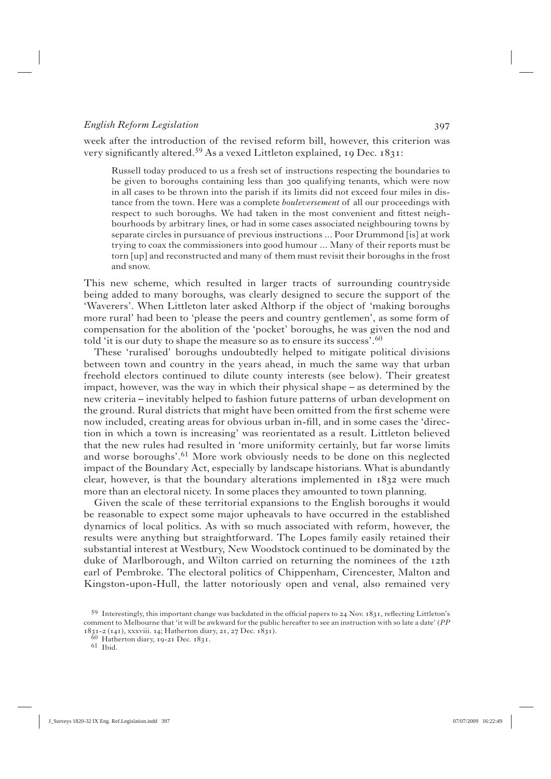week after the introduction of the revised reform bill, however, this criterion was very significantly altered.<sup>59</sup> As a vexed Littleton explained,  $I_9$  Dec.  $I_3$ 1:

Russell today produced to us a fresh set of instructions respecting the boundaries to be given to boroughs containing less than 300 qualifying tenants, which were now in all cases to be thrown into the parish if its limits did not exceed four miles in distance from the town. Here was a complete *bouleversement* of all our proceedings with respect to such boroughs. We had taken in the most convenient and fittest neighbourhoods by arbitrary lines, or had in some cases associated neighbouring towns by separate circles in pursuance of previous instructions ... Poor Drummond [is] at work trying to coax the commissioners into good humour ... Many of their reports must be torn [up] and reconstructed and many of them must revisit their boroughs in the frost and snow.

This new scheme, which resulted in larger tracts of surrounding countryside being added to many boroughs, was clearly designed to secure the support of the 'Waverers'. When Littleton later asked Althorp if the object of 'making boroughs more rural' had been to 'please the peers and country gentlemen', as some form of compensation for the abolition of the 'pocket' boroughs, he was given the nod and told 'it is our duty to shape the measure so as to ensure its success'.<sup>60</sup>

 These 'ruralised' boroughs undoubtedly helped to mitigate political divisions between town and country in the years ahead, in much the same way that urban freehold electors continued to dilute county interests (see below). Their greatest impact, however, was the way in which their physical shape – as determined by the new criteria – inevitably helped to fashion future patterns of urban development on the ground. Rural districts that might have been omitted from the first scheme were now included, creating areas for obvious urban in-fill, and in some cases the 'direction in which a town is increasing' was reorientated as a result. Littleton believed that the new rules had resulted in 'more uniformity certainly, but far worse limits and worse boroughs'.<sup>61</sup> More work obviously needs to be done on this neglected impact of the Boundary Act, especially by landscape historians. What is abundantly clear, however, is that the boundary alterations implemented in  $1832$  were much more than an electoral nicety. In some places they amounted to town planning.

 Given the scale of these territorial expansions to the English boroughs it would be reasonable to expect some major upheavals to have occurred in the established dynamics of local politics. As with so much associated with reform, however, the results were anything but straightforward. The Lopes family easily retained their substantial interest at Westbury, New Woodstock continued to be dominated by the duke of Marlborough, and Wilton carried on returning the nominees of the 12th earl of Pembroke. The electoral politics of Chippenham, Cirencester, Malton and Kingston-upon-Hull, the latter notoriously open and venal, also remained very

 $59$  Interestingly, this important change was backdated in the official papers to 24 Nov. 1831, reflecting Littleton's comment to Melbourne that 'it will be awkward for the public hereafter to see an instruction with so late a date' (*PP* 1831-2 (141), xxxviii. 14; Hatherton diary, 21, 27 Dec. 1831).

 $60$  Hatherton diary, 19-21 Dec. 1831.<br>61 Ibid.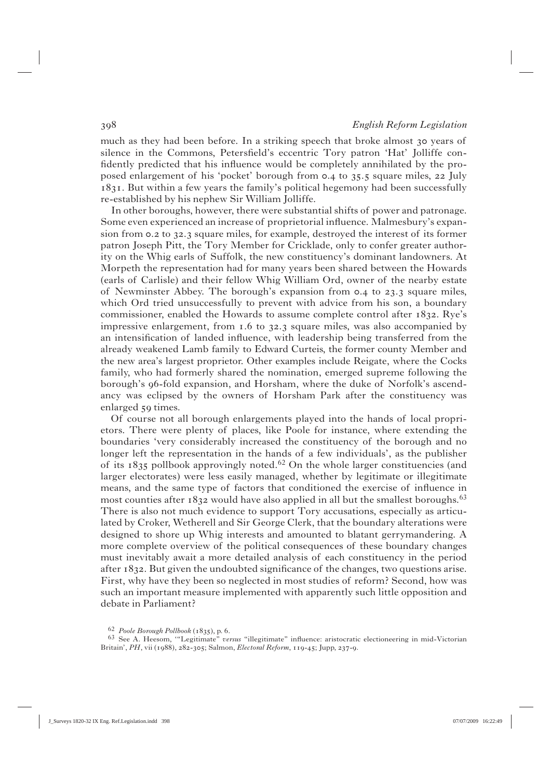much as they had been before. In a striking speech that broke almost 30 years of silence in the Commons, Petersfield's eccentric Tory patron 'Hat' Jolliffe confidently predicted that his influence would be completely annihilated by the proposed enlargement of his 'pocket' borough from 0.4 to 35.5 square miles, 22 July . But within a few years the family's political hegemony had been successfully re-established by his nephew Sir William Jolliffe.

 In other boroughs, however, there were substantial shifts of power and patronage. Some even experienced an increase of proprietorial influence. Malmesbury's expansion from  $\sigma$ ,  $\sigma$  to  $\sigma$  as a square miles, for example, destroyed the interest of its former patron Joseph Pitt, the Tory Member for Cricklade, only to confer greater authority on the Whig earls of Suffolk, the new constituency's dominant landowners. At Morpeth the representation had for many years been shared between the Howards (earls of Carlisle) and their fellow Whig William Ord, owner of the nearby estate of Newminster Abbey. The borough's expansion from  $0.4$  to  $23.3$  square miles, which Ord tried unsuccessfully to prevent with advice from his son, a boundary commissioner, enabled the Howards to assume complete control after  $1832$ . Rye's impressive enlargement, from  $1.6$  to  $32.3$  square miles, was also accompanied by an intensification of landed influence, with leadership being transferred from the already weakened Lamb family to Edward Curteis, the former county Member and the new area's largest proprietor. Other examples include Reigate, where the Cocks family, who had formerly shared the nomination, emerged supreme following the borough's 96-fold expansion, and Horsham, where the duke of Norfolk's ascendancy was eclipsed by the owners of Horsham Park after the constituency was enlarged 59 times.

 Of course not all borough enlargements played into the hands of local proprietors. There were plenty of places, like Poole for instance, where extending the boundaries 'very considerably increased the constituency of the borough and no longer left the representation in the hands of a few individuals', as the publisher of its  $1835$  pollbook approvingly noted.<sup>62</sup> On the whole larger constituencies (and larger electorates) were less easily managed, whether by legitimate or illegitimate means, and the same type of factors that conditioned the exercise of influence in most counties after  $1832$  would have also applied in all but the smallest boroughs.<sup>63</sup> There is also not much evidence to support Tory accusations, especially as articulated by Croker, Wetherell and Sir George Clerk, that the boundary alterations were designed to shore up Whig interests and amounted to blatant gerrymandering. A more complete overview of the political consequences of these boundary changes must inevitably await a more detailed analysis of each constituency in the period after  $1832$ . But given the undoubted significance of the changes, two questions arise. First, why have they been so neglected in most studies of reform? Second, how was such an important measure implemented with apparently such little opposition and debate in Parliament?

<sup>&</sup>lt;sup>62</sup> Poole Borough Pollbook (1835), p. 6.<br><sup>63</sup> See A. Heesom, "Legitimate" *versus* "illegitimate" influence: aristocratic electioneering in mid-Victorian Britain', PH, vii (1988), 282-305; Salmon, *Electoral Reform*, 119-45; Jupp, 237-9.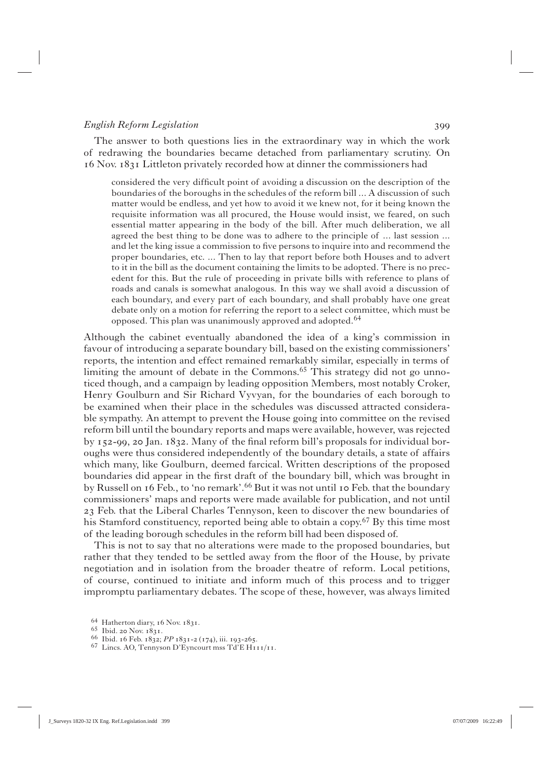The answer to both questions lies in the extraordinary way in which the work of redrawing the boundaries became detached from parliamentary scrutiny. On  $16$  Nov.  $1831$  Littleton privately recorded how at dinner the commissioners had

considered the very difficult point of avoiding a discussion on the description of the boundaries of the boroughs in the schedules of the reform bill ... A discussion of such matter would be endless, and yet how to avoid it we knew not, for it being known the requisite information was all procured, the House would insist, we feared, on such essential matter appearing in the body of the bill. After much deliberation, we all agreed the best thing to be done was to adhere to the principle of ... last session ... and let the king issue a commission to five persons to inquire into and recommend the proper boundaries, etc. ... Then to lay that report before both Houses and to advert to it in the bill as the document containing the limits to be adopted. There is no precedent for this. But the rule of proceeding in private bills with reference to plans of roads and canals is somewhat analogous. In this way we shall avoid a discussion of each boundary, and every part of each boundary, and shall probably have one great debate only on a motion for referring the report to a select committee, which must be opposed. This plan was unanimously approved and adopted.<sup>64</sup>

Although the cabinet eventually abandoned the idea of a king's commission in favour of introducing a separate boundary bill, based on the existing commissioners' reports, the intention and effect remained remarkably similar, especially in terms of limiting the amount of debate in the Commons.<sup>65</sup> This strategy did not go unnoticed though, and a campaign by leading opposition Members, most notably Croker, Henry Goulburn and Sir Richard Vyvyan, for the boundaries of each borough to be examined when their place in the schedules was discussed attracted considerable sympathy. An attempt to prevent the House going into committee on the revised reform bill until the boundary reports and maps were available, however, was rejected by 152-99, 20 Jan. 1832. Many of the final reform bill's proposals for individual boroughs were thus considered independently of the boundary details, a state of affairs which many, like Goulburn, deemed farcical. Written descriptions of the proposed boundaries did appear in the first draft of the boundary bill, which was brought in by Russell on 16 Feb., to 'no remark'.<sup>66</sup> But it was not until 10 Feb. that the boundary commissioners' maps and reports were made available for publication, and not until Feb. that the Liberal Charles Tennyson, keen to discover the new boundaries of his Stamford constituency, reported being able to obtain a copy.<sup>67</sup> By this time most of the leading borough schedules in the reform bill had been disposed of.

 This is not to say that no alterations were made to the proposed boundaries, but rather that they tended to be settled away from the floor of the House, by private negotiation and in isolation from the broader theatre of reform. Local petitions, of course, continued to initiate and inform much of this process and to trigger impromptu parliamentary debates. The scope of these, however, was always limited

<sup>64</sup> Hatherton diary, 16 Nov. 1831.<br>65 Ibid. 20 Nov. 1831.<br>66 Ibid. 16 Feb. 1832; *PP* 1831-2 (174), iii. 193-265.<br>67 Lincs. AO, Tennyson D'Eyncourt mss Td'E H111/11.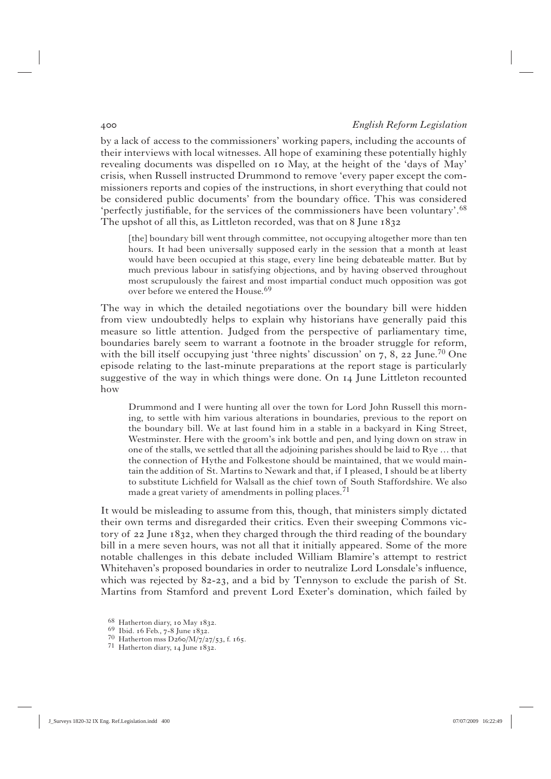by a lack of access to the commissioners' working papers, including the accounts of their interviews with local witnesses. All hope of examining these potentially highly revealing documents was dispelled on 10 May, at the height of the 'days of May' crisis, when Russell instructed Drummond to remove 'every paper except the commissioners reports and copies of the instructions, in short everything that could not be considered public documents' from the boundary office. This was considered 'perfectly justifiable, for the services of the commissioners have been voluntary'.<sup>68</sup> The upshot of all this, as Littleton recorded, was that on 8 June 1832

[the] boundary bill went through committee, not occupying altogether more than ten hours. It had been universally supposed early in the session that a month at least would have been occupied at this stage, every line being debateable matter. But by much previous labour in satisfying objections, and by having observed throughout most scrupulously the fairest and most impartial conduct much opposition was got over before we entered the House.<sup>69</sup>

The way in which the detailed negotiations over the boundary bill were hidden from view undoubtedly helps to explain why historians have generally paid this measure so little attention. Judged from the perspective of parliamentary time, boundaries barely seem to warrant a footnote in the broader struggle for reform, with the bill itself occupying just 'three nights' discussion' on  $7, 8, 22$  June.<sup>70</sup> One episode relating to the last-minute preparations at the report stage is particularly suggestive of the way in which things were done. On 14 June Littleton recounted how

Drummond and I were hunting all over the town for Lord John Russell this morning, to settle with him various alterations in boundaries, previous to the report on the boundary bill. We at last found him in a stable in a backyard in King Street, Westminster. Here with the groom's ink bottle and pen, and lying down on straw in one of the stalls, we settled that all the adjoining parishes should be laid to Rye … that the connection of Hythe and Folkestone should be maintained, that we would maintain the addition of St. Martins to Newark and that, if I pleased, I should be at liberty to substitute Lichfield for Walsall as the chief town of South Staffordshire. We also made a great variety of amendments in polling places.<sup>71</sup>

It would be misleading to assume from this, though, that ministers simply dictated their own terms and disregarded their critics. Even their sweeping Commons victory of  $22$  June  $1832$ , when they charged through the third reading of the boundary bill in a mere seven hours, was not all that it initially appeared. Some of the more notable challenges in this debate included William Blamire's attempt to restrict Whitehaven's proposed boundaries in order to neutralize Lord Lonsdale's influence, which was rejected by  $82-23$ , and a bid by Tennyson to exclude the parish of St. Martins from Stamford and prevent Lord Exeter's domination, which failed by

<sup>68</sup> Hatherton diary, 10 May 1832.<br>69 Ibid. 16 Feb., 7-8 June 1832.<br>70 Hatherton mss D260/M/7/27/53, f. 165.<br>71 Hatherton diary, 14 June 1832.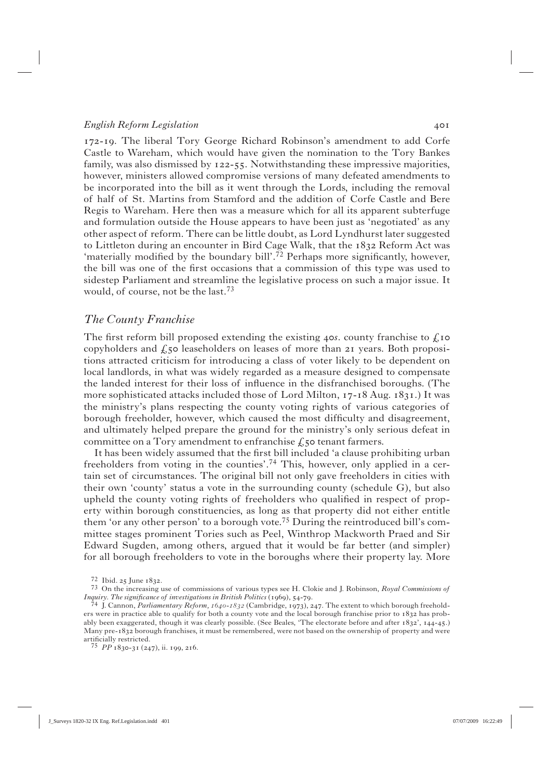172-19. The liberal Tory George Richard Robinson's amendment to add Corfe Castle to Wareham, which would have given the nomination to the Tory Bankes family, was also dismissed by  $122-55$ . Notwithstanding these impressive majorities, however, ministers allowed compromise versions of many defeated amendments to be incorporated into the bill as it went through the Lords, including the removal of half of St. Martins from Stamford and the addition of Corfe Castle and Bere Regis to Wareham. Here then was a measure which for all its apparent subterfuge and formulation outside the House appears to have been just as 'negotiated' as any other aspect of reform. There can be little doubt, as Lord Lyndhurst later suggested to Littleton during an encounter in Bird Cage Walk, that the 1832 Reform Act was 'materially modified by the boundary bill'.<sup>72</sup> Perhaps more significantly, however, the bill was one of the first occasions that a commission of this type was used to sidestep Parliament and streamline the legislative process on such a major issue. It would, of course, not be the last.<sup>73</sup>

### *The County Franchise*

The first reform bill proposed extending the existing  $4\sigma s$ . county franchise to  $\chi$  **jo** copyholders and  $f_s$  so leaseholders on leases of more than 21 years. Both propositions attracted criticism for introducing a class of voter likely to be dependent on local landlords, in what was widely regarded as a measure designed to compensate the landed interest for their loss of influence in the disfranchised boroughs. (The more sophisticated attacks included those of Lord Milton,  $17-18$  Aug.  $1831$ .) It was the ministry's plans respecting the county voting rights of various categories of borough freeholder, however, which caused the most difficulty and disagreement, and ultimately helped prepare the ground for the ministry's only serious defeat in committee on a Tory amendment to enfranchise  $f_{\text{c}}$  tenant farmers.

It has been widely assumed that the first bill included 'a clause prohibiting urban freeholders from voting in the counties'.74 This, however, only applied in a certain set of circumstances. The original bill not only gave freeholders in cities with their own 'county' status a vote in the surrounding county (schedule G), but also upheld the county voting rights of freeholders who qualified in respect of property within borough constituencies, as long as that property did not either entitle them 'or any other person' to a borough vote.<sup>75</sup> During the reintroduced bill's committee stages prominent Tories such as Peel, Winthrop Mackworth Praed and Sir Edward Sugden, among others, argued that it would be far better (and simpler) for all borough freeholders to vote in the boroughs where their property lay. More

<sup>72</sup> Ibid. 25 June 1832.<br><sup>73</sup> On the increasing use of commissions of various types see H. Clokie and J. Robinson, *Royal Commissions of Inquiry. The significance of investigations in British Politics* (1969), 54-79.<br><sup>74</sup> J. Cannon, *Parliamentary Reform, 1640-1832* (Cambridge, 1973), 247. The extent to which borough freehold-

ers were in practice able to qualify for both a county vote and the local borough franchise prior to 1832 has probably been exaggerated, though it was clearly possible. (See Beales, 'The electorate before and after 1832', 144-45.) Many pre-1832 borough franchises, it must be remembered, were not based on the ownership of property and were artificially restricted.

<sup>75</sup> *PP* 1830-31 (247), ii. 199, 216.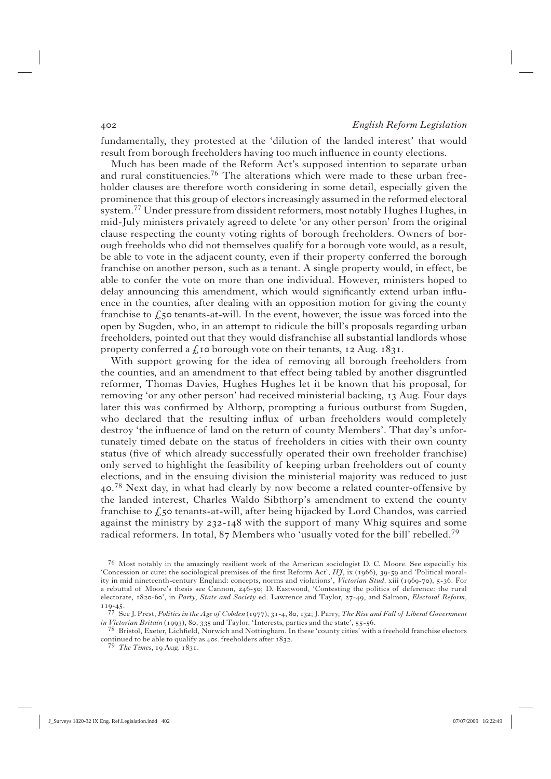fundamentally, they protested at the 'dilution of the landed interest' that would result from borough freeholders having too much influence in county elections.

 Much has been made of the Reform Act's supposed intention to separate urban and rural constituencies.<sup>76</sup> The alterations which were made to these urban freeholder clauses are therefore worth considering in some detail, especially given the prominence that this group of electors increasingly assumed in the reformed electoral system.<sup>77</sup> Under pressure from dissident reformers, most notably Hughes Hughes, in mid-July ministers privately agreed to delete 'or any other person' from the original clause respecting the county voting rights of borough freeholders. Owners of borough freeholds who did not themselves qualify for a borough vote would, as a result, be able to vote in the adjacent county, even if their property conferred the borough franchise on another person, such as a tenant. A single property would, in effect, be able to confer the vote on more than one individual. However, ministers hoped to delay announcing this amendment, which would significantly extend urban influence in the counties, after dealing with an opposition motion for giving the county franchise to  $\zeta$  50 tenants-at-will. In the event, however, the issue was forced into the open by Sugden, who, in an attempt to ridicule the bill's proposals regarding urban freeholders, pointed out that they would disfranchise all substantial landlords whose property conferred a  $f_x$  to borough vote on their tenants, 12 Aug. 1831.

 With support growing for the idea of removing all borough freeholders from the counties, and an amendment to that effect being tabled by another disgruntled reformer, Thomas Davies, Hughes Hughes let it be known that his proposal, for removing 'or any other person' had received ministerial backing, 13 Aug. Four days later this was confirmed by Althorp, prompting a furious outburst from Sugden, who declared that the resulting influx of urban freeholders would completely destroy 'the influence of land on the return of county Members'. That day's unfortunately timed debate on the status of freeholders in cities with their own county status (five of which already successfully operated their own freeholder franchise) only served to highlight the feasibility of keeping urban freeholders out of county elections, and in the ensuing division the ministerial majority was reduced to just 40.<sup>78</sup> Next day, in what had clearly by now become a related counter-offensive by the landed interest, Charles Waldo Sibthorp's amendment to extend the county franchise to  $\ell$ , so tenants-at-will, after being hijacked by Lord Chandos, was carried against the ministry by  $232 - 148$  with the support of many Whig squires and some radical reformers. In total,  $87$  Members who 'usually voted for the bill' rebelled.<sup>79</sup>

<sup>76</sup> Most notably in the amazingly resilient work of the American sociologist D. C. Moore. See especially his 'Concession or cure: the sociological premises of the first Reform Act', *HJ*, ix (1966), 39-59 and 'Political morality in mid nineteenth-century England: concepts, norms and violations', *Victorian Stud.* xiii (1969-70), 5-36. For a rebuttal of Moore's thesis see Cannon, 246-50; D. Eastwood, 'Contesting the politics of deference: the rural electorate, 1820-60', in *Party, State and Society* ed. Lawrence and Taylor, 27-49, and Salmon, *Electoral Reform*,

<sup>119-45.&</sup>lt;br><sup>77</sup> See J. Prest, *Politics in the Age of Cobden* (1977), 31-4, 80, 132; J. Parry, *The Rise and Fall of Liberal Government*<br>*in Victorian Britain* (1993), 80, 335 and Taylor, 'Interests, parties and the state', 5

<sup>&</sup>lt;sup>78</sup> Bristol, Exeter, Lichfield, Norwich and Nottingham. In these 'county cities' with a freehold franchise electors continued to be able to qualify as  $4$ os. freeholders after  $1832$ .<br><sup>79</sup> *The Times*,  $19$  Aug.  $1831$ .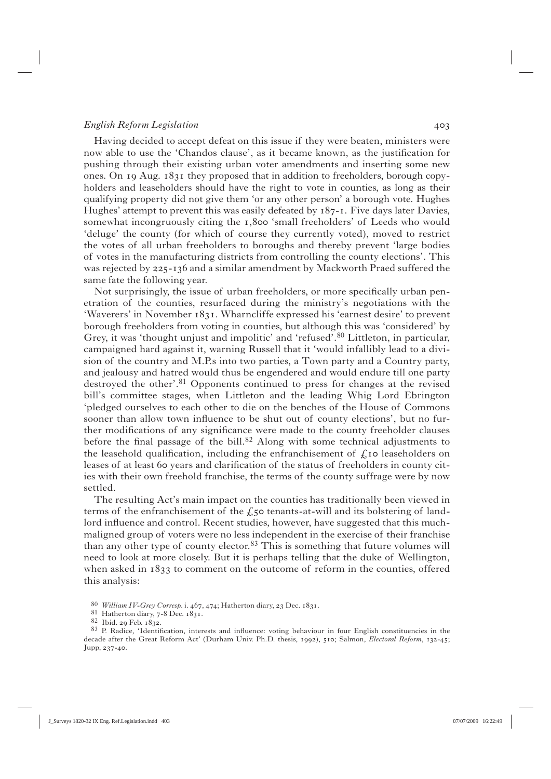Having decided to accept defeat on this issue if they were beaten, ministers were now able to use the 'Chandos clause', as it became known, as the justification for pushing through their existing urban voter amendments and inserting some new ones. On  $I_9$  Aug.  $I_83I$  they proposed that in addition to freeholders, borough copyholders and leaseholders should have the right to vote in counties, as long as their qualifying property did not give them 'or any other person' a borough vote. Hughes Hughes' attempt to prevent this was easily defeated by  $187$ -1. Five days later Davies, somewhat incongruously citing the  $1,800$  'small freeholders' of Leeds who would 'deluge' the county (for which of course they currently voted), moved to restrict the votes of all urban freeholders to boroughs and thereby prevent 'large bodies of votes in the manufacturing districts from controlling the county elections'. This was rejected by 225-136 and a similar amendment by Mackworth Praed suffered the same fate the following year.

Not surprisingly, the issue of urban freeholders, or more specifically urban penetration of the counties, resurfaced during the ministry's negotiations with the 'Waverers' in November 1831. Wharncliffe expressed his 'earnest desire' to prevent borough freeholders from voting in counties, but although this was 'considered' by Grey, it was 'thought unjust and impolitic' and 'refused'.<sup>80</sup> Littleton, in particular, campaigned hard against it, warning Russell that it 'would infallibly lead to a division of the country and M.P.s into two parties, a Town party and a Country party, and jealousy and hatred would thus be engendered and would endure till one party destroyed the other'.<sup>81</sup> Opponents continued to press for changes at the revised bill's committee stages, when Littleton and the leading Whig Lord Ebrington 'pledged ourselves to each other to die on the benches of the House of Commons sooner than allow town influence to be shut out of county elections', but no further modifications of any significance were made to the county freeholder clauses before the final passage of the bill.<sup>82</sup> Along with some technical adjustments to the leasehold qualification, including the enfranchisement of  $f$ , is leaseholders on leases of at least 60 years and clarification of the status of freeholders in county cities with their own freehold franchise, the terms of the county suffrage were by now settled.

 The resulting Act's main impact on the counties has traditionally been viewed in terms of the enfranchisement of the  $f$ , so tenants-at-will and its bolstering of landlord influence and control. Recent studies, however, have suggested that this muchmaligned group of voters were no less independent in the exercise of their franchise than any other type of county elector. $83$  This is something that future volumes will need to look at more closely. But it is perhaps telling that the duke of Wellington, when asked in  $1833$  to comment on the outcome of reform in the counties, offered this analysis:

<sup>80</sup> *William IV-Grey Corresp.* i. 467, 474; Hatherton diary, 23 Dec. 1831.<br>81 Hatherton diary, 7-8 Dec. 1831.<br>82 Ibid. 29 Feb. 1832.

<sup>83</sup> P. Radice, 'Identification, interests and influence: voting behaviour in four English constituencies in the decade after the Great Reform Act' (Durham Univ. Ph.D. thesis, 1992), 510; Salmon, *Electoral Reform*, 132-45;  $Jupp, 237-40$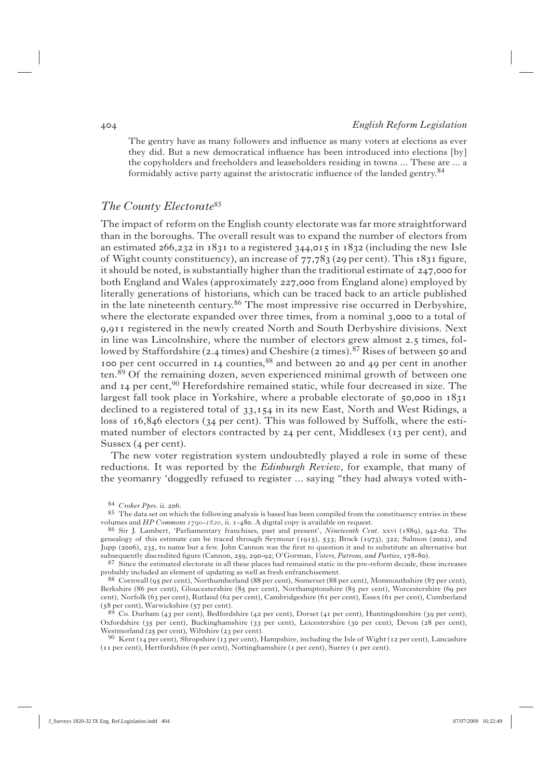The gentry have as many followers and influence as many voters at elections as ever they did. But a new democratical influence has been introduced into elections [by] the copyholders and freeholders and leaseholders residing in towns ... These are ... a formidably active party against the aristocratic influence of the landed gentry. $84$ 

### *The County Electorate*<sup>85</sup>

The impact of reform on the English county electorate was far more straightforward than in the boroughs. The overall result was to expand the number of electors from an estimated  $266,232$  in  $1831$  to a registered  $344,015$  in  $1832$  (including the new Isle of Wight county constituency), an increase of  $77,783$  (29 per cent). This  $1831$  figure, it should be noted, is substantially higher than the traditional estimate of  $247,000$  for both England and Wales (approximately 227,000 from England alone) employed by literally generations of historians, which can be traced back to an article published in the late nineteenth century.86 The most impressive rise occurred in Derbyshire, where the electorate expanded over three times, from a nominal  $3,000$  to a total of 9,911 registered in the newly created North and South Derbyshire divisions. Next in line was Lincolnshire, where the number of electors grew almost  $2.5$  times, followed by Staffordshire (2.4 times) and Cheshire (2 times).<sup>87</sup> Rises of between 50 and 100 per cent occurred in  $14$  counties,  $88$  and between 20 and 49 per cent in another ten.89 Of the remaining dozen, seven experienced minimal growth of between one and  $I_4$  per cent,<sup>90</sup> Herefordshire remained static, while four decreased in size. The largest fall took place in Yorkshire, where a probable electorate of  $50,000$  in  $1831$ declined to a registered total of  $33,154$  in its new East, North and West Ridings, a loss of  $16,846$  electors ( $34$  per cent). This was followed by Suffolk, where the estimated number of electors contracted by  $24$  per cent, Middlesex (13 per cent), and Sussex  $(4$  per cent).

 The new voter registration system undoubtedly played a role in some of these reductions. It was reported by the *Edinburgh Review*, for example, that many of the yeomanry 'doggedly refused to register ... saying "they had always voted with-

<sup>84</sup> *Croker Pprs*. ii. 206.<br>85 The data set on which the following analysis is based has been compiled from the constituency entries in these volumes and *HP Commons 1790-1820*, ii. 1-480. A digital copy is available on request.

<sup>86</sup> Sir J. Lambert, 'Parliamentary franchises, past and present', *Nineteenth Cent*. xxvi (1889), 942-62. The genealogy of this estimate can be traced through Seymour (1915), 533; Brock (1973), 322; Salmon (2002), and Jupp (2006), 235, to name but a few. John Cannon was the first to question it and to substitute an alternative but subsequently discredited figure (Cannon, 259, 290-92; O'Gorman, *Voters, Patrons, and Parties*, 178-80).

<sup>87</sup> Since the estimated electorate in all these places had remained static in the pre-reform decade, these increases probably included an element of updating as well as fresh enfranchisement.

<sup>88</sup> Cornwall (95 per cent), Northumberland (88 per cent), Somerset (88 per cent), Monmouthshire (87 per cent), Berkshire (86 per cent), Gloucestershire (85 per cent), Northamptonshire (85 per cent), Worcestershire (69 per cent), Norfolk (63 per cent), Rutland (62 per cent), Cambridgeshire (61 per cent), Essex (61 per cent), Cumberland (58 per cent), Warwickshire (57 per cent).<br><sup>89</sup> Co. Durham (43 per cent), Bedfordshire (42 per cent), Dorset (41 per cent), Huntingdonshire (39 per cent),

Oxfordshire (35 per cent), Buckinghamshire (33 per cent), Leicestershire (30 per cent), Devon (28 per cent), Westmorland (25 per cent), Wiltshire (23 per cent).

<sup>90</sup> Kent (14 per cent), Shropshire (13 per cent), Hampshire, including the Isle of Wight (12 per cent), Lancashire (II per cent), Hertfordshire (6 per cent), Nottinghamshire (I per cent), Surrey (I per cent).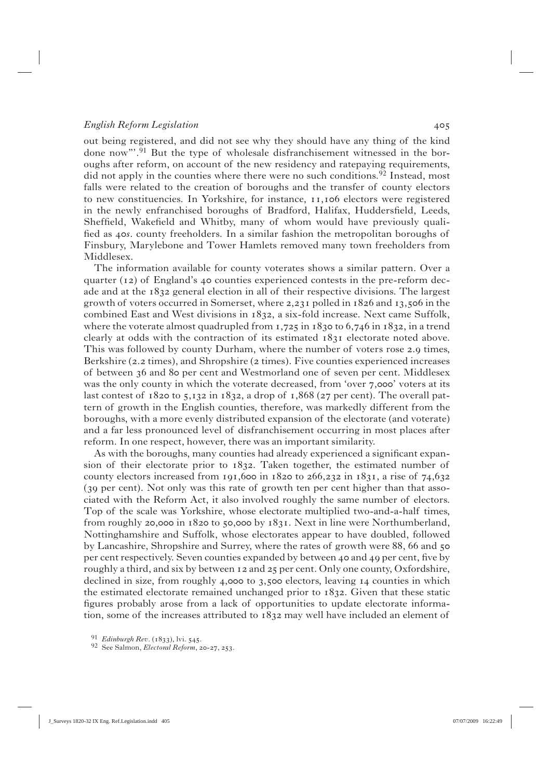out being registered, and did not see why they should have any thing of the kind done now"'.91 But the type of wholesale disfranchisement witnessed in the boroughs after reform, on account of the new residency and ratepaying requirements, did not apply in the counties where there were no such conditions.<sup>92</sup> Instead, most falls were related to the creation of boroughs and the transfer of county electors to new constituencies. In Yorkshire, for instance,  $11,106$  electors were registered in the newly enfranchised boroughs of Bradford, Halifax, Huddersfield, Leeds, Sheffield, Wakefield and Whitby, many of whom would have previously qualified as 40s. county freeholders. In a similar fashion the metropolitan boroughs of Finsbury, Marylebone and Tower Hamlets removed many town freeholders from Middlesex.

 The information available for county voterates shows a similar pattern. Over a quarter ( $12$ ) of England's 40 counties experienced contests in the pre-reform decade and at the  $1832$  general election in all of their respective divisions. The largest growth of voters occurred in Somerset, where  $2,231$  polled in  $1826$  and  $13,506$  in the combined East and West divisions in 1832, a six-fold increase. Next came Suffolk, where the voterate almost quadrupled from  $1,725$  in  $1830$  to  $6,746$  in  $1832$ , in a trend clearly at odds with the contraction of its estimated  $1831$  electorate noted above. This was followed by county Durham, where the number of voters rose 2.9 times, Berkshire ( $2.2$  times), and Shropshire ( $2$  times). Five counties experienced increases of between 36 and 80 per cent and Westmorland one of seven per cent. Middlesex was the only county in which the voterate decreased, from 'over 7,000' voters at its last contest of  $1820$  to  $5,132$  in  $1832$ , a drop of  $1,868$  (27 per cent). The overall pattern of growth in the English counties, therefore, was markedly different from the boroughs, with a more evenly distributed expansion of the electorate (and voterate) and a far less pronounced level of disfranchisement occurring in most places after reform. In one respect, however, there was an important similarity.

As with the boroughs, many counties had already experienced a significant expansion of their electorate prior to  $1832$ . Taken together, the estimated number of county electors increased from 191,600 in  $1820$  to  $266,232$  in  $1831$ , a rise of  $74,632$ (39 per cent). Not only was this rate of growth ten per cent higher than that associated with the Reform Act, it also involved roughly the same number of electors. Top of the scale was Yorkshire, whose electorate multiplied two-and-a-half times, from roughly 20,000 in  $1820$  to 50,000 by  $1831$ . Next in line were Northumberland, Nottinghamshire and Suffolk, whose electorates appear to have doubled, followed by Lancashire, Shropshire and Surrey, where the rates of growth were 88, 66 and 50 per cent respectively. Seven counties expanded by between  $4\circ$  and  $4\circ$  per cent, five by roughly a third, and six by between  $12$  and  $25$  per cent. Only one county, Oxfordshire, declined in size, from roughly  $4,000$  to  $3,500$  electors, leaving  $14$  counties in which the estimated electorate remained unchanged prior to  $1832$ . Given that these static figures probably arose from a lack of opportunities to update electorate information, some of the increases attributed to  $1832$  may well have included an element of

<sup>&</sup>lt;sup>91</sup> *Edinburgh Rev.* (1833), lvi. 545.<br><sup>92</sup> See Salmon, *Electoral Reform*, 20-27, 253.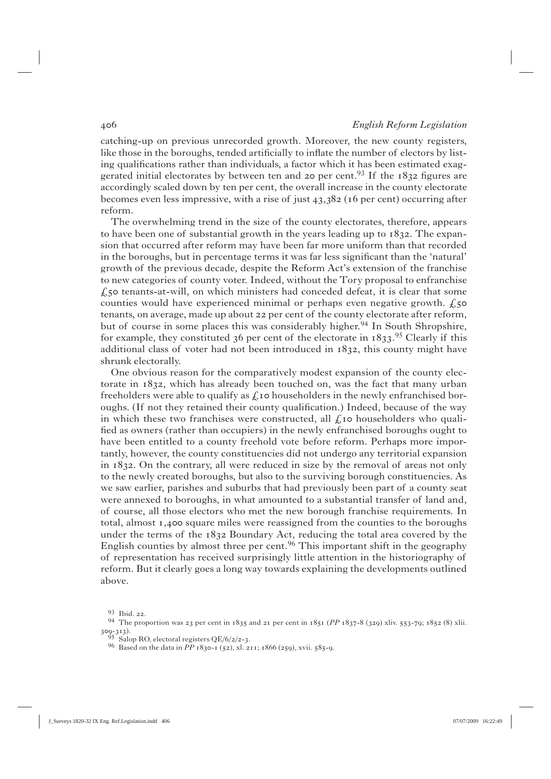catching-up on previous unrecorded growth. Moreover, the new county registers, like those in the boroughs, tended artificially to inflate the number of electors by listing qualifications rather than individuals, a factor which it has been estimated exaggerated initial electorates by between ten and 20 per cent.<sup>93</sup> If the  $1832$  figures are accordingly scaled down by ten per cent, the overall increase in the county electorate becomes even less impressive, with a rise of just  $43,382$  (16 per cent) occurring after reform.

 The overwhelming trend in the size of the county electorates, therefore, appears to have been one of substantial growth in the years leading up to  $1832$ . The expansion that occurred after reform may have been far more uniform than that recorded in the boroughs, but in percentage terms it was far less significant than the 'natural' growth of the previous decade, despite the Reform Act's extension of the franchise to new categories of county voter. Indeed, without the Tory proposal to enfranchise  $f<sub>5</sub>$  tenants-at-will, on which ministers had conceded defeat, it is clear that some counties would have experienced minimal or perhaps even negative growth.  $f$ ,  $\zeta$ tenants, on average, made up about 22 per cent of the county electorate after reform, but of course in some places this was considerably higher.<sup>94</sup> In South Shropshire, for example, they constituted 36 per cent of the electorate in  $1833.^{95}$  Clearly if this additional class of voter had not been introduced in  $1832$ , this county might have shrunk electorally.

 One obvious reason for the comparatively modest expansion of the county electorate in  $1832$ , which has already been touched on, was the fact that many urban freeholders were able to qualify as  $f_k$  to householders in the newly enfranchised boroughs. (If not they retained their county qualification.) Indeed, because of the way in which these two franchises were constructed, all  $f_k$  to householders who qualified as owners (rather than occupiers) in the newly enfranchised boroughs ought to have been entitled to a county freehold vote before reform. Perhaps more importantly, however, the county constituencies did not undergo any territorial expansion in  $1832$ . On the contrary, all were reduced in size by the removal of areas not only to the newly created boroughs, but also to the surviving borough constituencies. As we saw earlier, parishes and suburbs that had previously been part of a county seat were annexed to boroughs, in what amounted to a substantial transfer of land and, of course, all those electors who met the new borough franchise requirements. In total, almost  $I$ , 400 square miles were reassigned from the counties to the boroughs under the terms of the  $1832$  Boundary Act, reducing the total area covered by the English counties by almost three per cent.<sup>96</sup> This important shift in the geography of representation has received surprisingly little attention in the historiography of reform. But it clearly goes a long way towards explaining the developments outlined above.

<sup>93</sup> Ibid. 22.<br>94 The proportion was 23 per cent in  $1835$  and  $21$  per cent in  $1851$  (PP  $1837-8$  (329) xliv. 553-79;  $1852$  (8) xlii.  $309-313$ .<br><sup>95</sup> Salop RO, electoral registers QE/6/2/2-3.

<sup>&</sup>lt;sup>96</sup> Based on the data in *PP* 1830-1 (52), xl. 211; 1866 (259), xvii. 585-9.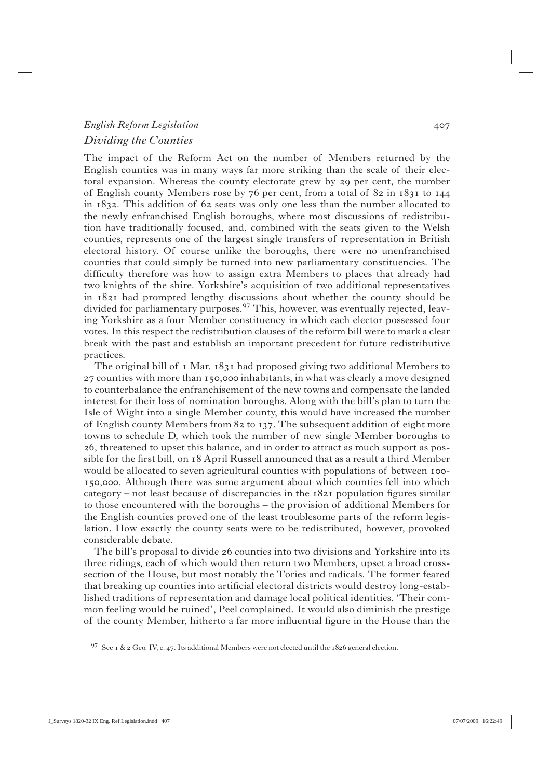## *English Reform Legislation Dividing the Counties*

The impact of the Reform Act on the number of Members returned by the English counties was in many ways far more striking than the scale of their electoral expansion. Whereas the county electorate grew by 29 per cent, the number of English county Members rose by 76 per cent, from a total of 82 in 1831 to 144 in  $1832$ . This addition of 62 seats was only one less than the number allocated to the newly enfranchised English boroughs, where most discussions of redistribution have traditionally focused, and, combined with the seats given to the Welsh counties, represents one of the largest single transfers of representation in British electoral history. Of course unlike the boroughs, there were no unenfranchised counties that could simply be turned into new parliamentary constituencies. The difficulty therefore was how to assign extra Members to places that already had two knights of the shire. Yorkshire's acquisition of two additional representatives in  $1821$  had prompted lengthy discussions about whether the county should be divided for parliamentary purposes.<sup>97</sup> This, however, was eventually rejected, leaving Yorkshire as a four Member constituency in which each elector possessed four votes. In this respect the redistribution clauses of the reform bill were to mark a clear break with the past and establish an important precedent for future redistributive practices.

The original bill of  $\bar{1}$  Mar.  $1831$  had proposed giving two additional Members to  $27$  counties with more than 150,000 inhabitants, in what was clearly a move designed to counterbalance the enfranchisement of the new towns and compensate the landed interest for their loss of nomination boroughs. Along with the bill's plan to turn the Isle of Wight into a single Member county, this would have increased the number of English county Members from  $82$  to 137. The subsequent addition of eight more towns to schedule D, which took the number of new single Member boroughs to , threatened to upset this balance, and in order to attract as much support as possible for the first bill, on 18 April Russell announced that as a result a third Member would be allocated to seven agricultural counties with populations of between 100-150,000. Although there was some argument about which counties fell into which category – not least because of discrepancies in the  $1821$  population figures similar to those encountered with the boroughs – the provision of additional Members for the English counties proved one of the least troublesome parts of the reform legislation. How exactly the county seats were to be redistributed, however, provoked considerable debate.

The bill's proposal to divide 26 counties into two divisions and Yorkshire into its three ridings, each of which would then return two Members, upset a broad crosssection of the House, but most notably the Tories and radicals. The former feared that breaking up counties into artificial electoral districts would destroy long-established traditions of representation and damage local political identities. 'Their common feeling would be ruined', Peel complained. It would also diminish the prestige of the county Member, hitherto a far more influential figure in the House than the

<sup>97</sup> See 1 & 2 Geo. IV, c. 47. Its additional Members were not elected until the 1826 general election.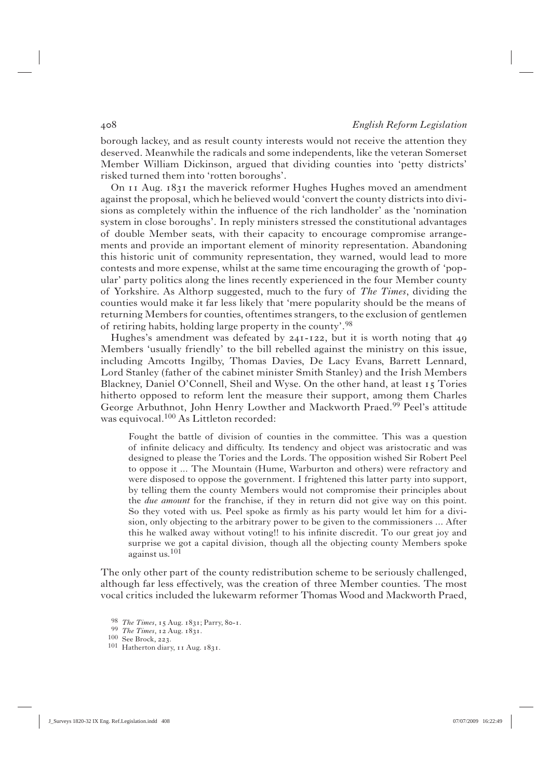borough lackey, and as result county interests would not receive the attention they deserved. Meanwhile the radicals and some independents, like the veteran Somerset Member William Dickinson, argued that dividing counties into 'petty districts' risked turned them into 'rotten boroughs'.

On  $I_1$  Aug.  $I_3$ <sup>1</sup> the maverick reformer Hughes Hughes moved an amendment against the proposal, which he believed would 'convert the county districts into divisions as completely within the influence of the rich landholder' as the 'nomination system in close boroughs'. In reply ministers stressed the constitutional advantages of double Member seats, with their capacity to encourage compromise arrangements and provide an important element of minority representation. Abandoning this historic unit of community representation, they warned, would lead to more contests and more expense, whilst at the same time encouraging the growth of 'popular' party politics along the lines recently experienced in the four Member county of Yorkshire. As Althorp suggested, much to the fury of *The Times*, dividing the counties would make it far less likely that 'mere popularity should be the means of returning Members for counties, oftentimes strangers, to the exclusion of gentlemen of retiring habits, holding large property in the county'.98

Hughes's amendment was defeated by  $24I - I22$ , but it is worth noting that  $49$ Members 'usually friendly' to the bill rebelled against the ministry on this issue, including Amcotts Ingilby, Thomas Davies, De Lacy Evans, Barrett Lennard, Lord Stanley (father of the cabinet minister Smith Stanley) and the Irish Members Blackney, Daniel O'Connell, Sheil and Wyse. On the other hand, at least  $\overline{15}$  Tories hitherto opposed to reform lent the measure their support, among them Charles George Arbuthnot, John Henry Lowther and Mackworth Praed.<sup>99</sup> Peel's attitude was equivocal.100 As Littleton recorded:

Fought the battle of division of counties in the committee. This was a question of infinite delicacy and difficulty. Its tendency and object was aristocratic and was designed to please the Tories and the Lords. The opposition wished Sir Robert Peel to oppose it ... The Mountain (Hume, Warburton and others) were refractory and were disposed to oppose the government. I frightened this latter party into support, by telling them the county Members would not compromise their principles about the *due amount* for the franchise, if they in return did not give way on this point. So they voted with us. Peel spoke as firmly as his party would let him for a division, only objecting to the arbitrary power to be given to the commissioners ... After this he walked away without voting!! to his infinite discredit. To our great joy and surprise we got a capital division, though all the objecting county Members spoke against us.<sup>101</sup>

The only other part of the county redistribution scheme to be seriously challenged, although far less effectively, was the creation of three Member counties. The most vocal critics included the lukewarm reformer Thomas Wood and Mackworth Praed,

<sup>98</sup> *The Times*, 15 Aug. 1831; Parry, 80-1.<br><sup>99</sup> *The Times*, 12 Aug. 1831.<br><sup>100</sup> See Brock, 223.<br><sup>101</sup> Hatherton diary, 11 Aug. 1831.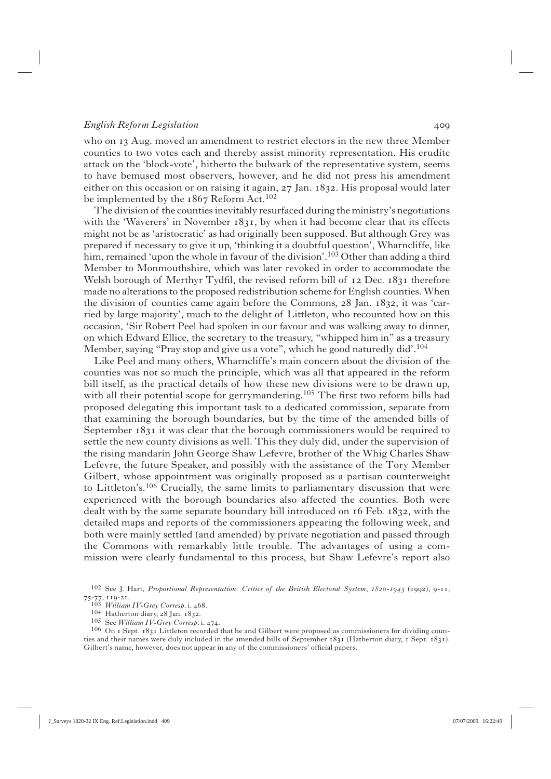who on 13 Aug. moved an amendment to restrict electors in the new three Member counties to two votes each and thereby assist minority representation. His erudite attack on the 'block-vote', hitherto the bulwark of the representative system, seems to have bemused most observers, however, and he did not press his amendment either on this occasion or on raising it again,  $27 \text{ Jan. } 1832$ . His proposal would later be implemented by the 1867 Reform Act.<sup>102</sup>

 The division of the counties inevitably resurfaced during the ministry's negotiations with the 'Waverers' in November  $1831$ , by when it had become clear that its effects might not be as 'aristocratic' as had originally been supposed. But although Grey was prepared if necessary to give it up, 'thinking it a doubtful question', Wharncliffe, like him, remained 'upon the whole in favour of the division'.<sup>103</sup> Other than adding a third Member to Monmouthshire, which was later revoked in order to accommodate the Welsh borough of Merthyr Tydfil, the revised reform bill of  $12$  Dec.  $1831$  therefore made no alterations to the proposed redistribution scheme for English counties. When the division of counties came again before the Commons,  $28$  Jan.  $1832$ , it was 'carried by large majority', much to the delight of Littleton, who recounted how on this occasion, 'Sir Robert Peel had spoken in our favour and was walking away to dinner, on which Edward Ellice, the secretary to the treasury, "whipped him in" as a treasury Member, saying "Pray stop and give us a vote", which he good naturedly did'.104

 Like Peel and many others, Wharncliffe's main concern about the division of the counties was not so much the principle, which was all that appeared in the reform bill itself, as the practical details of how these new divisions were to be drawn up, with all their potential scope for gerrymandering.<sup>105</sup> The first two reform bills had proposed delegating this important task to a dedicated commission, separate from that examining the borough boundaries, but by the time of the amended bills of September  $1831$  it was clear that the borough commissioners would be required to settle the new county divisions as well. This they duly did, under the supervision of the rising mandarin John George Shaw Lefevre, brother of the Whig Charles Shaw Lefevre, the future Speaker, and possibly with the assistance of the Tory Member Gilbert, whose appointment was originally proposed as a partisan counterweight to Littleton's.<sup>106</sup> Crucially, the same limits to parliamentary discussion that were experienced with the borough boundaries also affected the counties. Both were dealt with by the same separate boundary bill introduced on  $16$  Feb.  $1832$ , with the detailed maps and reports of the commissioners appearing the following week, and both were mainly settled (and amended) by private negotiation and passed through the Commons with remarkably little trouble. The advantages of using a commission were clearly fundamental to this process, but Shaw Lefevre's report also

<sup>104</sup> Hatherton diary, 28 Jan. 1832.<br><sup>105</sup> See *William IV-Grey Corresp*. i. 474.<br><sup>106</sup> On 1 Sept. 1831 Littleton recorded that he and Gilbert were proposed as commissioners for dividing counties and their names were duly included in the amended bills of September 1831 (Hatherton diary, 1 Sept. 1831). Gilbert's name, however, does not appear in any of the commissioners' official papers.

<sup>102</sup> See J. Hart, *Proportional Representation: Critics of the British Electoral System,*  $1820-1945$  *(1992), 9-11, 75-77, 119-21.<br>
<sup>103</sup> William IV-Grey Corresp. i. 468.*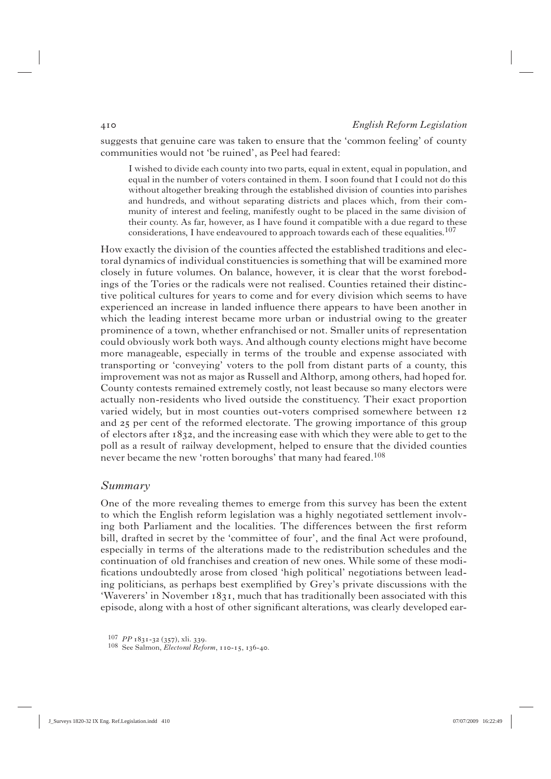suggests that genuine care was taken to ensure that the 'common feeling' of county communities would not 'be ruined', as Peel had feared:

I wished to divide each county into two parts, equal in extent, equal in population, and equal in the number of voters contained in them. I soon found that I could not do this without altogether breaking through the established division of counties into parishes and hundreds, and without separating districts and places which, from their community of interest and feeling, manifestly ought to be placed in the same division of their county. As far, however, as I have found it compatible with a due regard to these considerations, I have endeavoured to approach towards each of these equalities.<sup>107</sup>

How exactly the division of the counties affected the established traditions and electoral dynamics of individual constituencies is something that will be examined more closely in future volumes. On balance, however, it is clear that the worst forebodings of the Tories or the radicals were not realised. Counties retained their distinctive political cultures for years to come and for every division which seems to have experienced an increase in landed influence there appears to have been another in which the leading interest became more urban or industrial owing to the greater prominence of a town, whether enfranchised or not. Smaller units of representation could obviously work both ways. And although county elections might have become more manageable, especially in terms of the trouble and expense associated with transporting or 'conveying' voters to the poll from distant parts of a county, this improvement was not as major as Russell and Althorp, among others, had hoped for. County contests remained extremely costly, not least because so many electors were actually non-residents who lived outside the constituency. Their exact proportion varied widely, but in most counties out-voters comprised somewhere between 12 and 25 per cent of the reformed electorate. The growing importance of this group of electors after  $1832$ , and the increasing ease with which they were able to get to the poll as a result of railway development, helped to ensure that the divided counties never became the new 'rotten boroughs' that many had feared.<sup>108</sup>

#### *Summary*

One of the more revealing themes to emerge from this survey has been the extent to which the English reform legislation was a highly negotiated settlement involving both Parliament and the localities. The differences between the first reform bill, drafted in secret by the 'committee of four', and the final Act were profound, especially in terms of the alterations made to the redistribution schedules and the continuation of old franchises and creation of new ones. While some of these modifications undoubtedly arose from closed 'high political' negotiations between leading politicians, as perhaps best exemplified by Grey's private discussions with the 'Waverers' in November 1831, much that has traditionally been associated with this episode, along with a host of other significant alterations, was clearly developed ear-

<sup>107</sup> *PP* 1831-32 (357), xli. 339.<br>108 See Salmon, *Electoral Reform*, 110-15, 136-40.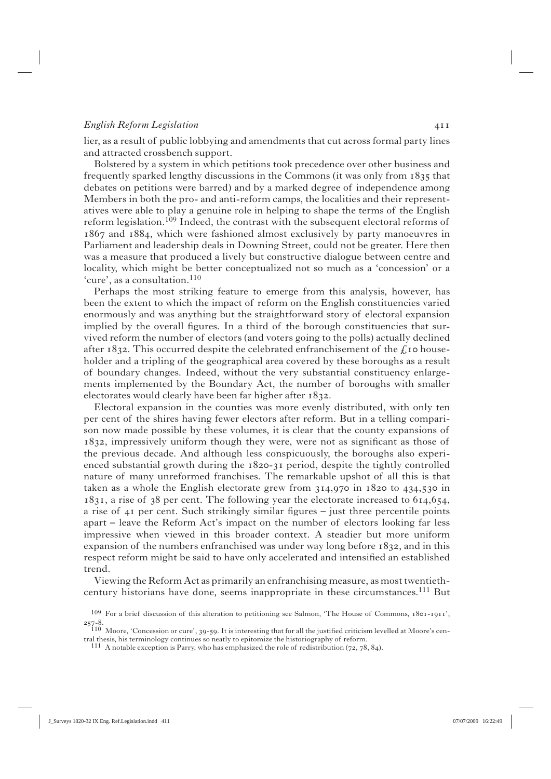lier, as a result of public lobbying and amendments that cut across formal party lines and attracted crossbench support.

 Bolstered by a system in which petitions took precedence over other business and frequently sparked lengthy discussions in the Commons (it was only from  $1835$  that debates on petitions were barred) and by a marked degree of independence among Members in both the pro- and anti-reform camps, the localities and their representatives were able to play a genuine role in helping to shape the terms of the English reform legislation.<sup>109</sup> Indeed, the contrast with the subsequent electoral reforms of  $1867$  and  $1884$ , which were fashioned almost exclusively by party manoeuvres in Parliament and leadership deals in Downing Street, could not be greater. Here then was a measure that produced a lively but constructive dialogue between centre and locality, which might be better conceptualized not so much as a 'concession' or a 'cure', as a consultation.<sup>110</sup>

 Perhaps the most striking feature to emerge from this analysis, however, has been the extent to which the impact of reform on the English constituencies varied enormously and was anything but the straightforward story of electoral expansion implied by the overall figures. In a third of the borough constituencies that survived reform the number of electors (and voters going to the polls) actually declined after 1832. This occurred despite the celebrated enfranchisement of the  $\zeta$  to householder and a tripling of the geographical area covered by these boroughs as a result of boundary changes. Indeed, without the very substantial constituency enlargements implemented by the Boundary Act, the number of boroughs with smaller electorates would clearly have been far higher after  $1832$ .

 Electoral expansion in the counties was more evenly distributed, with only ten per cent of the shires having fewer electors after reform. But in a telling comparison now made possible by these volumes, it is clear that the county expansions of 1832, impressively uniform though they were, were not as significant as those of the previous decade. And although less conspicuously, the boroughs also experienced substantial growth during the  $1820-31$  period, despite the tightly controlled nature of many unreformed franchises. The remarkable upshot of all this is that taken as a whole the English electorate grew from  $314,970$  in  $1820$  to  $434,530$  in  $1831$ , a rise of 38 per cent. The following year the electorate increased to  $614,654$ , a rise of  $\overline{41}$  per cent. Such strikingly similar figures – just three percentile points apart – leave the Reform Act's impact on the number of electors looking far less impressive when viewed in this broader context. A steadier but more uniform expansion of the numbers enfranchised was under way long before  $1832$ , and in this respect reform might be said to have only accelerated and intensified an established trend.

 Viewing the Reform Act as primarily an enfranchising measure, as most twentiethcentury historians have done, seems inappropriate in these circumstances.<sup>111</sup> But

 $109$  For a brief discussion of this alteration to petitioning see Salmon, 'The House of Commons,  $18$ 01-1911',

<sup>257-8.&</sup>lt;br>110 Moore, 'Concession or cure', 39-59. It is interesting that for all the justified criticism levelled at Moore's cen-<br> $\frac{1}{2}$  is historial behavior and the future of reform tral thesis, his terminology continues so neatly to epitomize the historiography of reform.

 $111$  A notable exception is Parry, who has emphasized the role of redistribution (72, 78, 84).